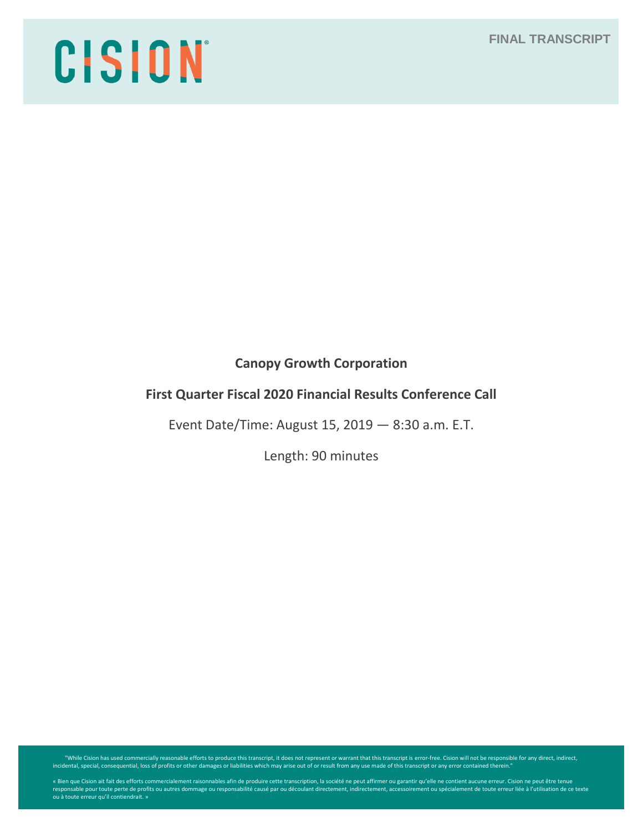# CISION

# **Canopy Growth Corporation**

# **First Quarter Fiscal 2020 Financial Results Conference Call**

Event Date/Time: August 15, 2019 — 8:30 a.m. E.T.

Length: 90 minutes

While Cision has used commercially reasonable efforts to produce this transcript, it does not represent or warrant that this transcript is error-free. Cision will not be responsible for any direct, indirect, indirect, indi

« Bien que Cision ait fait des efforts commercialement raisonnables afin de produire cette transcription, la société ne peut affirmer ou garantir qu'elle ne contient aucune erreur. Cision ne peut être tenue<br>responsable pou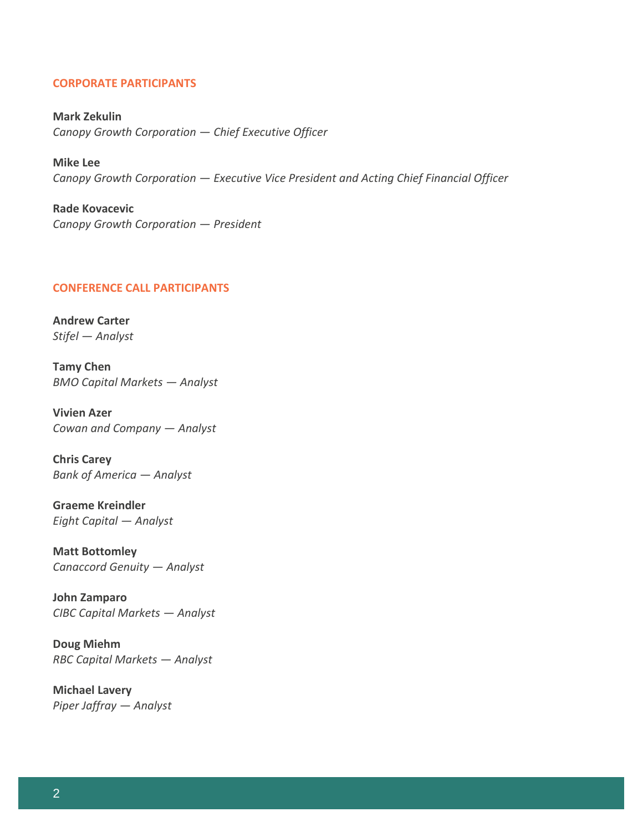# **CORPORATE PARTICIPANTS**

**Mark Zekulin** *Canopy Growth Corporation — Chief Executive Officer*

**Mike Lee** *Canopy Growth Corporation — Executive Vice President and Acting Chief Financial Officer*

**Rade Kovacevic** *Canopy Growth Corporation — President*

#### **CONFERENCE CALL PARTICIPANTS**

**Andrew Carter** *Stifel — Analyst*

**Tamy Chen** *BMO Capital Markets — Analyst*

**Vivien Azer** *Cowan and Company — Analyst*

**Chris Carey** *Bank of America — Analyst*

**Graeme Kreindler** *Eight Capital — Analyst*

**Matt Bottomley** *Canaccord Genuity — Analyst*

**John Zamparo** *CIBC Capital Markets — Analyst*

**Doug Miehm** *RBC Capital Markets — Analyst*

**Michael Lavery** *Piper Jaffray — Analyst*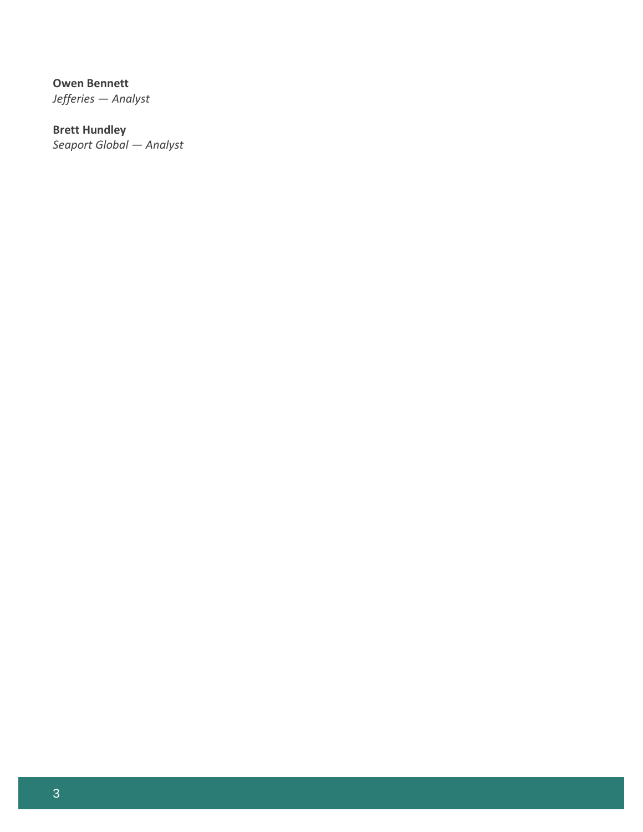**Owen Bennett** *Jefferies — Analyst*

**Brett Hundley** *Seaport Global — Analyst*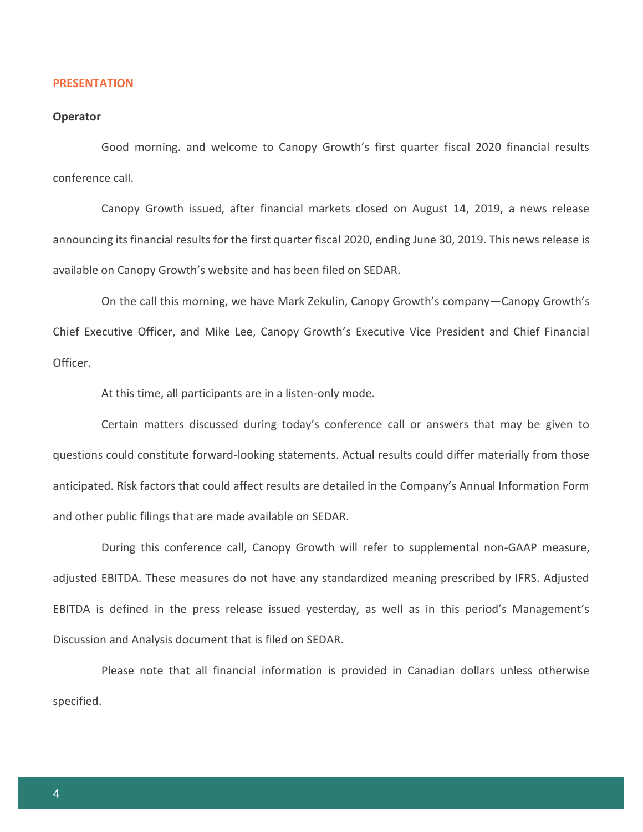#### **PRESENTATION**

#### **Operator**

Good morning. and welcome to Canopy Growth's first quarter fiscal 2020 financial results conference call.

Canopy Growth issued, after financial markets closed on August 14, 2019, a news release announcing its financial results for the first quarter fiscal 2020, ending June 30, 2019. This news release is available on Canopy Growth's website and has been filed on SEDAR.

On the call this morning, we have Mark Zekulin, Canopy Growth's company—Canopy Growth's Chief Executive Officer, and Mike Lee, Canopy Growth's Executive Vice President and Chief Financial Officer.

At this time, all participants are in a listen-only mode.

Certain matters discussed during today's conference call or answers that may be given to questions could constitute forward-looking statements. Actual results could differ materially from those anticipated. Risk factors that could affect results are detailed in the Company's Annual Information Form and other public filings that are made available on SEDAR.

During this conference call, Canopy Growth will refer to supplemental non-GAAP measure, adjusted EBITDA. These measures do not have any standardized meaning prescribed by IFRS. Adjusted EBITDA is defined in the press release issued yesterday, as well as in this period's Management's Discussion and Analysis document that is filed on SEDAR.

Please note that all financial information is provided in Canadian dollars unless otherwise specified.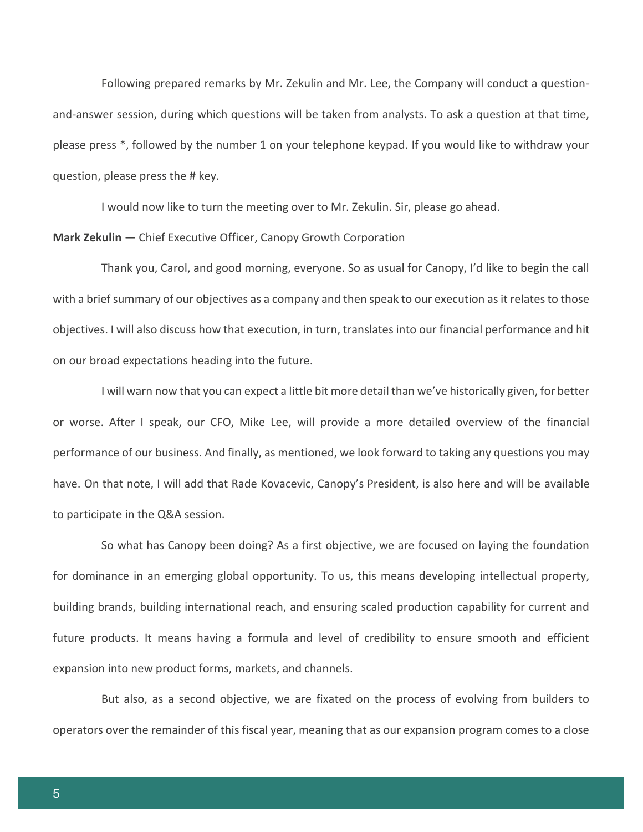Following prepared remarks by Mr. Zekulin and Mr. Lee, the Company will conduct a questionand-answer session, during which questions will be taken from analysts. To ask a question at that time, please press \*, followed by the number 1 on your telephone keypad. If you would like to withdraw your question, please press the # key.

I would now like to turn the meeting over to Mr. Zekulin. Sir, please go ahead.

**Mark Zekulin** — Chief Executive Officer, Canopy Growth Corporation

Thank you, Carol, and good morning, everyone. So as usual for Canopy, I'd like to begin the call with a brief summary of our objectives as a company and then speak to our execution as it relates to those objectives. I will also discuss how that execution, in turn, translates into our financial performance and hit on our broad expectations heading into the future.

I will warn now that you can expect a little bit more detail than we've historically given, for better or worse. After I speak, our CFO, Mike Lee, will provide a more detailed overview of the financial performance of our business. And finally, as mentioned, we look forward to taking any questions you may have. On that note, I will add that Rade Kovacevic, Canopy's President, is also here and will be available to participate in the Q&A session.

So what has Canopy been doing? As a first objective, we are focused on laying the foundation for dominance in an emerging global opportunity. To us, this means developing intellectual property, building brands, building international reach, and ensuring scaled production capability for current and future products. It means having a formula and level of credibility to ensure smooth and efficient expansion into new product forms, markets, and channels.

But also, as a second objective, we are fixated on the process of evolving from builders to operators over the remainder of this fiscal year, meaning that as our expansion program comes to a close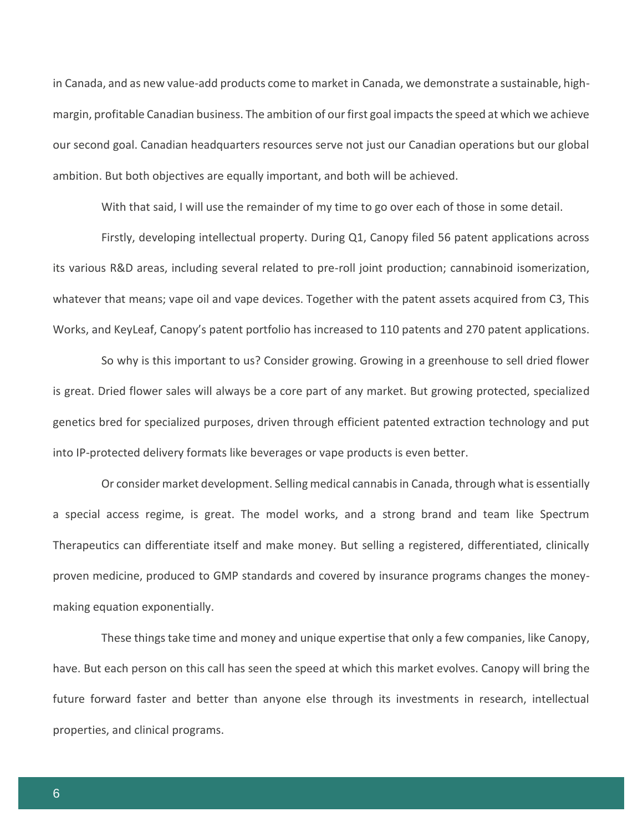in Canada, and as new value-add products come to market in Canada, we demonstrate a sustainable, highmargin, profitable Canadian business. The ambition of our first goal impacts the speed at which we achieve our second goal. Canadian headquarters resources serve not just our Canadian operations but our global ambition. But both objectives are equally important, and both will be achieved.

With that said, I will use the remainder of my time to go over each of those in some detail.

Firstly, developing intellectual property. During Q1, Canopy filed 56 patent applications across its various R&D areas, including several related to pre-roll joint production; cannabinoid isomerization, whatever that means; vape oil and vape devices. Together with the patent assets acquired from C3, This Works, and KeyLeaf, Canopy's patent portfolio has increased to 110 patents and 270 patent applications.

So why is this important to us? Consider growing. Growing in a greenhouse to sell dried flower is great. Dried flower sales will always be a core part of any market. But growing protected, specialized genetics bred for specialized purposes, driven through efficient patented extraction technology and put into IP-protected delivery formats like beverages or vape products is even better.

Or consider market development. Selling medical cannabis in Canada, through what is essentially a special access regime, is great. The model works, and a strong brand and team like Spectrum Therapeutics can differentiate itself and make money. But selling a registered, differentiated, clinically proven medicine, produced to GMP standards and covered by insurance programs changes the moneymaking equation exponentially.

These things take time and money and unique expertise that only a few companies, like Canopy, have. But each person on this call has seen the speed at which this market evolves. Canopy will bring the future forward faster and better than anyone else through its investments in research, intellectual properties, and clinical programs.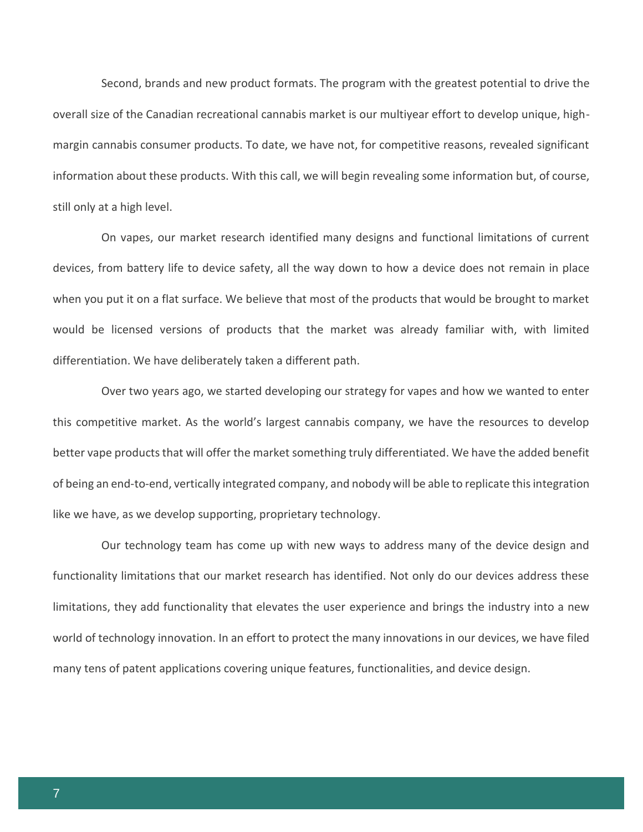Second, brands and new product formats. The program with the greatest potential to drive the overall size of the Canadian recreational cannabis market is our multiyear effort to develop unique, highmargin cannabis consumer products. To date, we have not, for competitive reasons, revealed significant information about these products. With this call, we will begin revealing some information but, of course, still only at a high level.

On vapes, our market research identified many designs and functional limitations of current devices, from battery life to device safety, all the way down to how a device does not remain in place when you put it on a flat surface. We believe that most of the products that would be brought to market would be licensed versions of products that the market was already familiar with, with limited differentiation. We have deliberately taken a different path.

Over two years ago, we started developing our strategy for vapes and how we wanted to enter this competitive market. As the world's largest cannabis company, we have the resources to develop better vape products that will offer the market something truly differentiated. We have the added benefit of being an end-to-end, vertically integrated company, and nobody will be able to replicate this integration like we have, as we develop supporting, proprietary technology.

Our technology team has come up with new ways to address many of the device design and functionality limitations that our market research has identified. Not only do our devices address these limitations, they add functionality that elevates the user experience and brings the industry into a new world of technology innovation. In an effort to protect the many innovations in our devices, we have filed many tens of patent applications covering unique features, functionalities, and device design.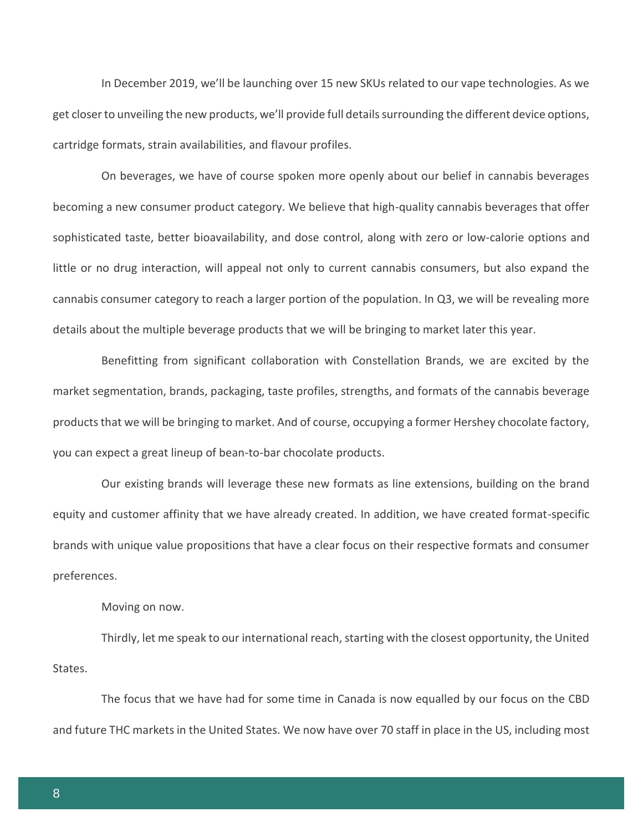In December 2019, we'll be launching over 15 new SKUs related to our vape technologies. As we get closer to unveiling the new products, we'll provide full details surrounding the different device options, cartridge formats, strain availabilities, and flavour profiles.

On beverages, we have of course spoken more openly about our belief in cannabis beverages becoming a new consumer product category. We believe that high-quality cannabis beverages that offer sophisticated taste, better bioavailability, and dose control, along with zero or low-calorie options and little or no drug interaction, will appeal not only to current cannabis consumers, but also expand the cannabis consumer category to reach a larger portion of the population. In Q3, we will be revealing more details about the multiple beverage products that we will be bringing to market later this year.

Benefitting from significant collaboration with Constellation Brands, we are excited by the market segmentation, brands, packaging, taste profiles, strengths, and formats of the cannabis beverage products that we will be bringing to market. And of course, occupying a former Hershey chocolate factory, you can expect a great lineup of bean-to-bar chocolate products.

Our existing brands will leverage these new formats as line extensions, building on the brand equity and customer affinity that we have already created. In addition, we have created format-specific brands with unique value propositions that have a clear focus on their respective formats and consumer preferences.

Moving on now.

Thirdly, let me speak to our international reach, starting with the closest opportunity, the United States.

The focus that we have had for some time in Canada is now equalled by our focus on the CBD and future THC markets in the United States. We now have over 70 staff in place in the US, including most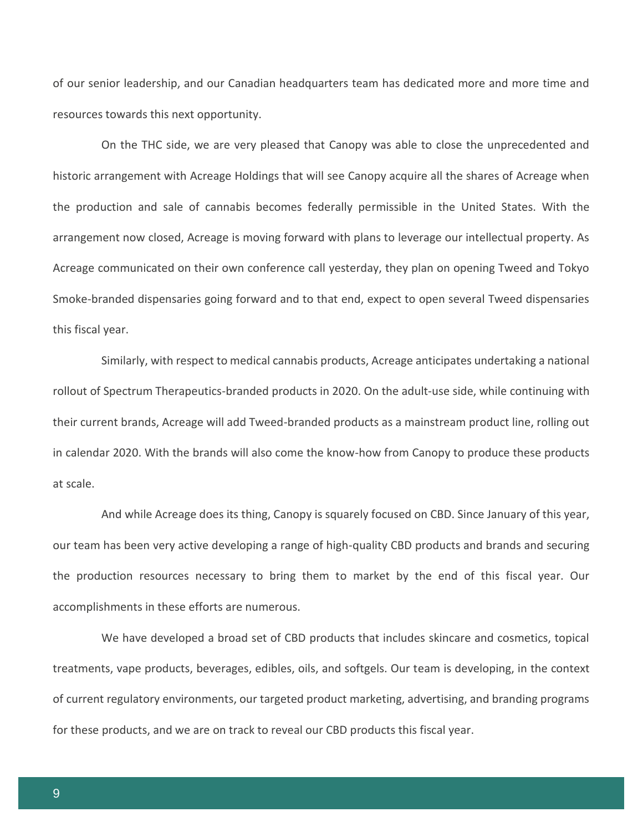of our senior leadership, and our Canadian headquarters team has dedicated more and more time and resources towards this next opportunity.

On the THC side, we are very pleased that Canopy was able to close the unprecedented and historic arrangement with Acreage Holdings that will see Canopy acquire all the shares of Acreage when the production and sale of cannabis becomes federally permissible in the United States. With the arrangement now closed, Acreage is moving forward with plans to leverage our intellectual property. As Acreage communicated on their own conference call yesterday, they plan on opening Tweed and Tokyo Smoke-branded dispensaries going forward and to that end, expect to open several Tweed dispensaries this fiscal year.

Similarly, with respect to medical cannabis products, Acreage anticipates undertaking a national rollout of Spectrum Therapeutics-branded products in 2020. On the adult-use side, while continuing with their current brands, Acreage will add Tweed-branded products as a mainstream product line, rolling out in calendar 2020. With the brands will also come the know-how from Canopy to produce these products at scale.

And while Acreage does its thing, Canopy is squarely focused on CBD. Since January of this year, our team has been very active developing a range of high-quality CBD products and brands and securing the production resources necessary to bring them to market by the end of this fiscal year. Our accomplishments in these efforts are numerous.

We have developed a broad set of CBD products that includes skincare and cosmetics, topical treatments, vape products, beverages, edibles, oils, and softgels. Our team is developing, in the context of current regulatory environments, our targeted product marketing, advertising, and branding programs for these products, and we are on track to reveal our CBD products this fiscal year.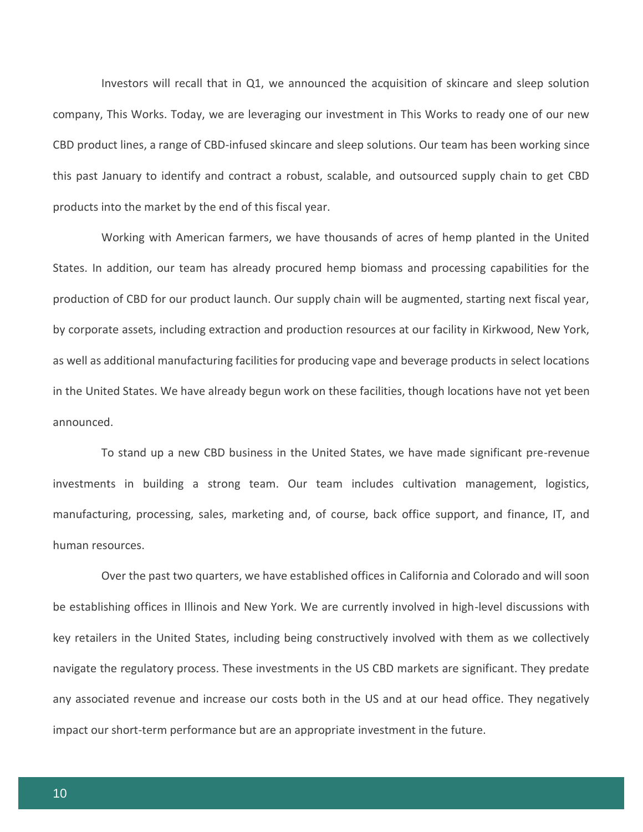Investors will recall that in Q1, we announced the acquisition of skincare and sleep solution company, This Works. Today, we are leveraging our investment in This Works to ready one of our new CBD product lines, a range of CBD-infused skincare and sleep solutions. Our team has been working since this past January to identify and contract a robust, scalable, and outsourced supply chain to get CBD products into the market by the end of this fiscal year.

Working with American farmers, we have thousands of acres of hemp planted in the United States. In addition, our team has already procured hemp biomass and processing capabilities for the production of CBD for our product launch. Our supply chain will be augmented, starting next fiscal year, by corporate assets, including extraction and production resources at our facility in Kirkwood, New York, as well as additional manufacturing facilities for producing vape and beverage products in select locations in the United States. We have already begun work on these facilities, though locations have not yet been announced.

To stand up a new CBD business in the United States, we have made significant pre-revenue investments in building a strong team. Our team includes cultivation management, logistics, manufacturing, processing, sales, marketing and, of course, back office support, and finance, IT, and human resources.

Over the past two quarters, we have established offices in California and Colorado and will soon be establishing offices in Illinois and New York. We are currently involved in high-level discussions with key retailers in the United States, including being constructively involved with them as we collectively navigate the regulatory process. These investments in the US CBD markets are significant. They predate any associated revenue and increase our costs both in the US and at our head office. They negatively impact our short-term performance but are an appropriate investment in the future.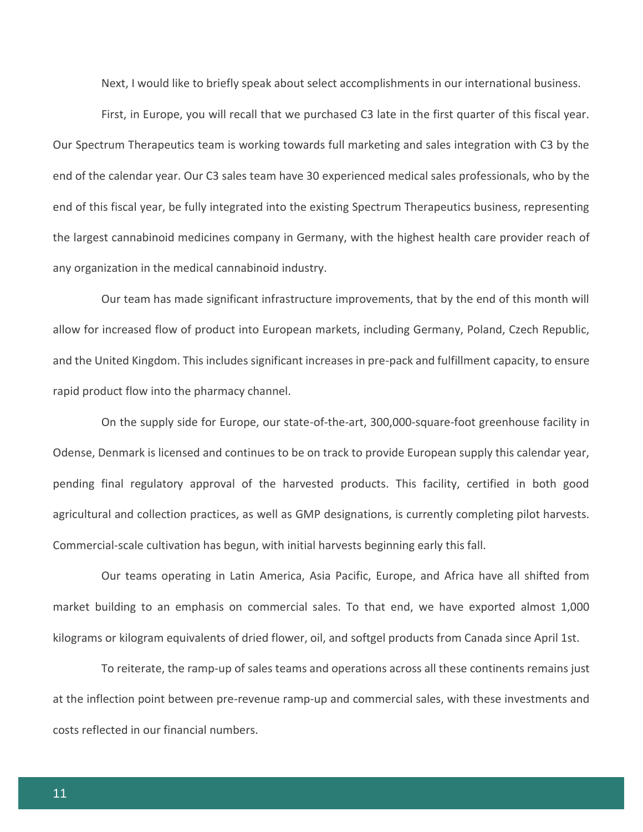Next, I would like to briefly speak about select accomplishments in our international business.

First, in Europe, you will recall that we purchased C3 late in the first quarter of this fiscal year. Our Spectrum Therapeutics team is working towards full marketing and sales integration with C3 by the end of the calendar year. Our C3 sales team have 30 experienced medical sales professionals, who by the end of this fiscal year, be fully integrated into the existing Spectrum Therapeutics business, representing the largest cannabinoid medicines company in Germany, with the highest health care provider reach of any organization in the medical cannabinoid industry.

Our team has made significant infrastructure improvements, that by the end of this month will allow for increased flow of product into European markets, including Germany, Poland, Czech Republic, and the United Kingdom. This includes significant increases in pre-pack and fulfillment capacity, to ensure rapid product flow into the pharmacy channel.

On the supply side for Europe, our state-of-the-art, 300,000-square-foot greenhouse facility in Odense, Denmark is licensed and continues to be on track to provide European supply this calendar year, pending final regulatory approval of the harvested products. This facility, certified in both good agricultural and collection practices, as well as GMP designations, is currently completing pilot harvests. Commercial-scale cultivation has begun, with initial harvests beginning early this fall.

Our teams operating in Latin America, Asia Pacific, Europe, and Africa have all shifted from market building to an emphasis on commercial sales. To that end, we have exported almost 1,000 kilograms or kilogram equivalents of dried flower, oil, and softgel products from Canada since April 1st.

To reiterate, the ramp-up of sales teams and operations across all these continents remains just at the inflection point between pre-revenue ramp-up and commercial sales, with these investments and costs reflected in our financial numbers.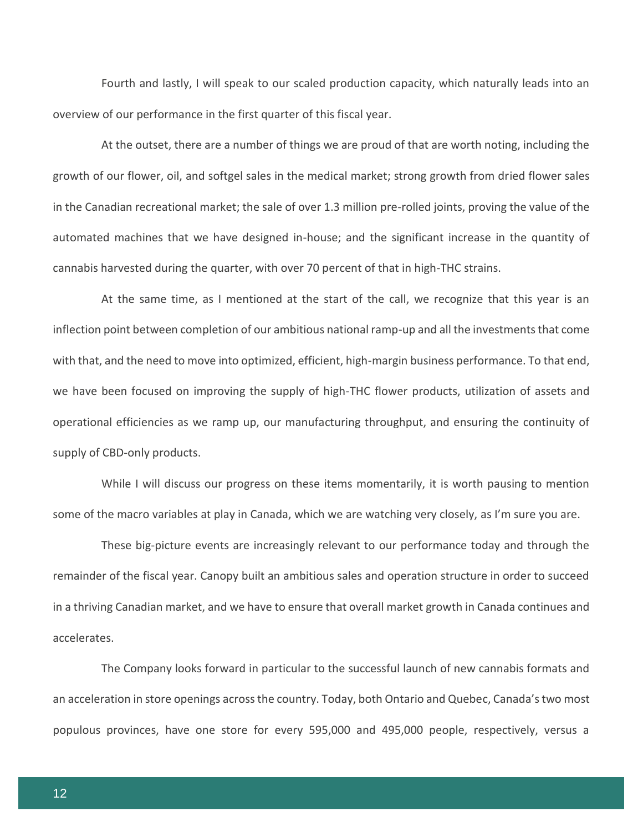Fourth and lastly, I will speak to our scaled production capacity, which naturally leads into an overview of our performance in the first quarter of this fiscal year.

At the outset, there are a number of things we are proud of that are worth noting, including the growth of our flower, oil, and softgel sales in the medical market; strong growth from dried flower sales in the Canadian recreational market; the sale of over 1.3 million pre-rolled joints, proving the value of the automated machines that we have designed in-house; and the significant increase in the quantity of cannabis harvested during the quarter, with over 70 percent of that in high-THC strains.

At the same time, as I mentioned at the start of the call, we recognize that this year is an inflection point between completion of our ambitious national ramp-up and all the investments that come with that, and the need to move into optimized, efficient, high-margin business performance. To that end, we have been focused on improving the supply of high-THC flower products, utilization of assets and operational efficiencies as we ramp up, our manufacturing throughput, and ensuring the continuity of supply of CBD-only products.

While I will discuss our progress on these items momentarily, it is worth pausing to mention some of the macro variables at play in Canada, which we are watching very closely, as I'm sure you are.

These big-picture events are increasingly relevant to our performance today and through the remainder of the fiscal year. Canopy built an ambitious sales and operation structure in order to succeed in a thriving Canadian market, and we have to ensure that overall market growth in Canada continues and accelerates.

The Company looks forward in particular to the successful launch of new cannabis formats and an acceleration in store openings across the country. Today, both Ontario and Quebec, Canada's two most populous provinces, have one store for every 595,000 and 495,000 people, respectively, versus a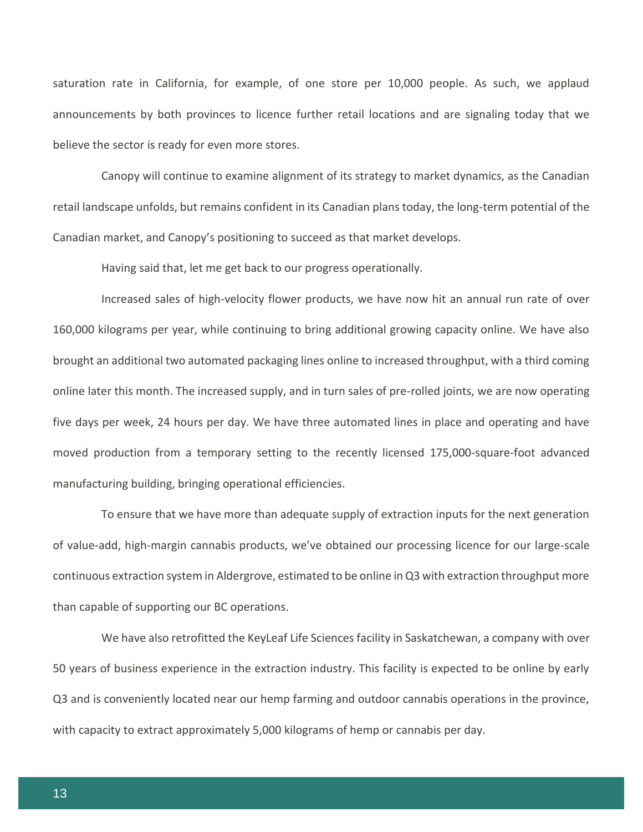saturation rate in California, for example, of one store per 10,000 people. As such, we applaud announcements by both provinces to licence further retail locations and are signaling today that we believe the sector is ready for even more stores.

Canopy will continue to examine alignment of its strategy to market dynamics, as the Canadian retail landscape unfolds, but remains confident in its Canadian plans today, the long-term potential of the Canadian market, and Canopy's positioning to succeed as that market develops.

Having said that, let me get back to our progress operationally.

Increased sales of high-velocity flower products, we have now hit an annual run rate of over 160,000 kilograms per year, while continuing to bring additional growing capacity online. We have also brought an additional two automated packaging lines online to increased throughput, with a third coming online later this month. The increased supply, and in turn sales of pre-rolled joints, we are now operating five days per week, 24 hours per day. We have three automated lines in place and operating and have moved production from a temporary setting to the recently licensed 175,000-square-foot advanced manufacturing building, bringing operational efficiencies.

To ensure that we have more than adequate supply of extraction inputs for the next generation of value-add, high-margin cannabis products, we've obtained our processing licence for our large-scale continuous extraction system in Aldergrove, estimated to be online in Q3 with extraction throughput more than capable of supporting our BC operations.

We have also retrofitted the KeyLeaf Life Sciences facility in Saskatchewan, a company with over 50 years of business experience in the extraction industry. This facility is expected to be online by early Q3 and is conveniently located near our hemp farming and outdoor cannabis operations in the province, with capacity to extract approximately 5,000 kilograms of hemp or cannabis per day.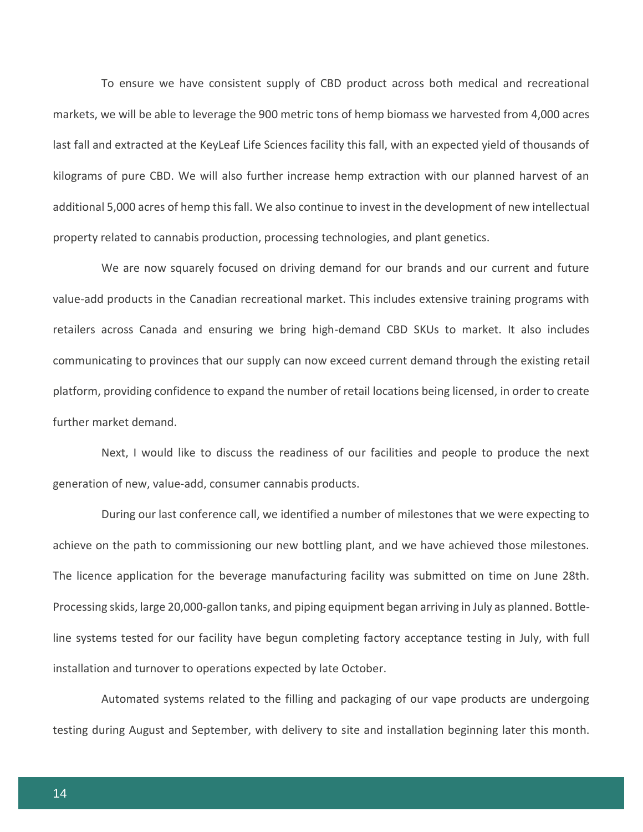To ensure we have consistent supply of CBD product across both medical and recreational markets, we will be able to leverage the 900 metric tons of hemp biomass we harvested from 4,000 acres last fall and extracted at the KeyLeaf Life Sciences facility this fall, with an expected yield of thousands of kilograms of pure CBD. We will also further increase hemp extraction with our planned harvest of an additional 5,000 acres of hemp this fall. We also continue to invest in the development of new intellectual property related to cannabis production, processing technologies, and plant genetics.

We are now squarely focused on driving demand for our brands and our current and future value-add products in the Canadian recreational market. This includes extensive training programs with retailers across Canada and ensuring we bring high-demand CBD SKUs to market. It also includes communicating to provinces that our supply can now exceed current demand through the existing retail platform, providing confidence to expand the number of retail locations being licensed, in order to create further market demand.

Next, I would like to discuss the readiness of our facilities and people to produce the next generation of new, value-add, consumer cannabis products.

During our last conference call, we identified a number of milestones that we were expecting to achieve on the path to commissioning our new bottling plant, and we have achieved those milestones. The licence application for the beverage manufacturing facility was submitted on time on June 28th. Processing skids, large 20,000-gallon tanks, and piping equipment began arriving in July as planned. Bottleline systems tested for our facility have begun completing factory acceptance testing in July, with full installation and turnover to operations expected by late October.

Automated systems related to the filling and packaging of our vape products are undergoing testing during August and September, with delivery to site and installation beginning later this month.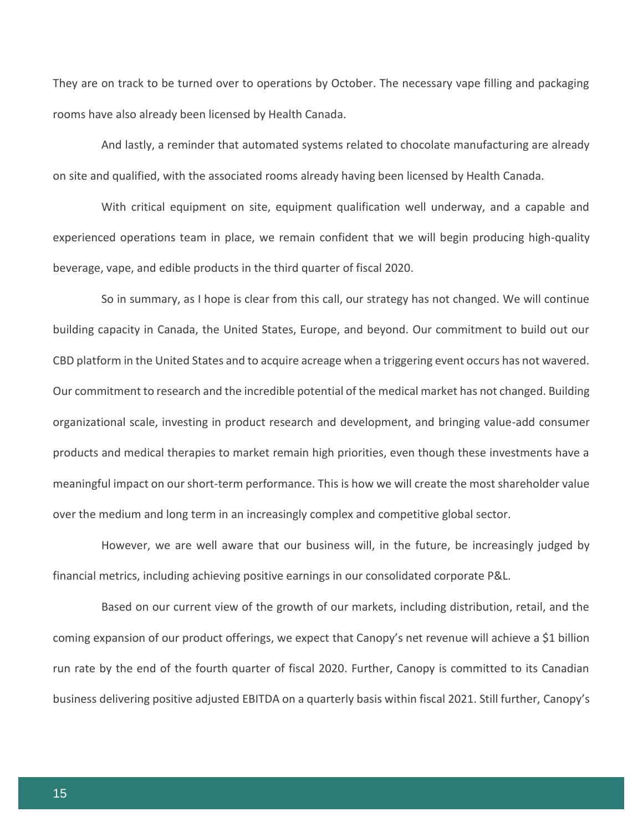They are on track to be turned over to operations by October. The necessary vape filling and packaging rooms have also already been licensed by Health Canada.

And lastly, a reminder that automated systems related to chocolate manufacturing are already on site and qualified, with the associated rooms already having been licensed by Health Canada.

With critical equipment on site, equipment qualification well underway, and a capable and experienced operations team in place, we remain confident that we will begin producing high-quality beverage, vape, and edible products in the third quarter of fiscal 2020.

So in summary, as I hope is clear from this call, our strategy has not changed. We will continue building capacity in Canada, the United States, Europe, and beyond. Our commitment to build out our CBD platform in the United States and to acquire acreage when a triggering event occurs has not wavered. Our commitment to research and the incredible potential of the medical market has not changed. Building organizational scale, investing in product research and development, and bringing value-add consumer products and medical therapies to market remain high priorities, even though these investments have a meaningful impact on our short-term performance. This is how we will create the most shareholder value over the medium and long term in an increasingly complex and competitive global sector.

However, we are well aware that our business will, in the future, be increasingly judged by financial metrics, including achieving positive earnings in our consolidated corporate P&L.

Based on our current view of the growth of our markets, including distribution, retail, and the coming expansion of our product offerings, we expect that Canopy's net revenue will achieve a \$1 billion run rate by the end of the fourth quarter of fiscal 2020. Further, Canopy is committed to its Canadian business delivering positive adjusted EBITDA on a quarterly basis within fiscal 2021. Still further, Canopy's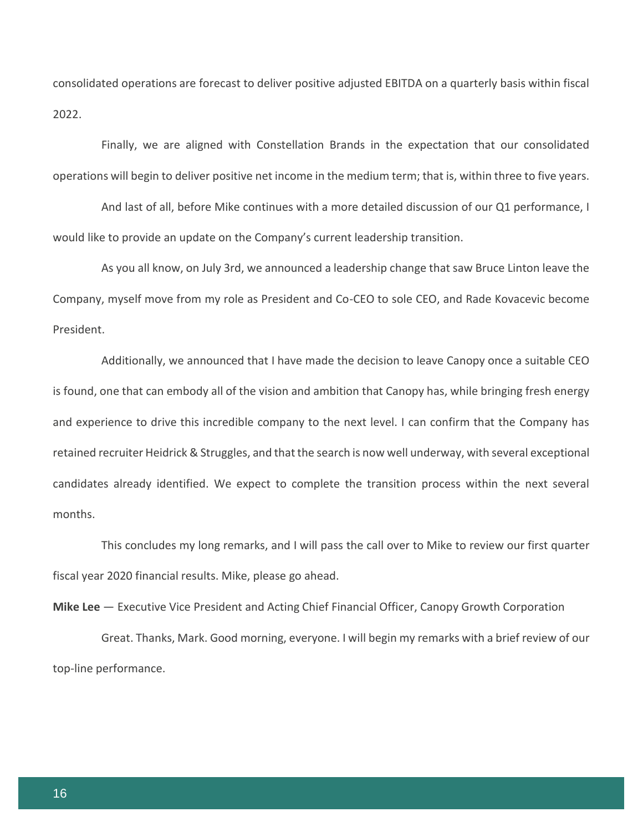consolidated operations are forecast to deliver positive adjusted EBITDA on a quarterly basis within fiscal 2022.

Finally, we are aligned with Constellation Brands in the expectation that our consolidated operations will begin to deliver positive net income in the medium term; that is, within three to five years.

And last of all, before Mike continues with a more detailed discussion of our Q1 performance, I would like to provide an update on the Company's current leadership transition.

As you all know, on July 3rd, we announced a leadership change that saw Bruce Linton leave the Company, myself move from my role as President and Co-CEO to sole CEO, and Rade Kovacevic become President.

Additionally, we announced that I have made the decision to leave Canopy once a suitable CEO is found, one that can embody all of the vision and ambition that Canopy has, while bringing fresh energy and experience to drive this incredible company to the next level. I can confirm that the Company has retained recruiter Heidrick & Struggles, and that the search is now well underway, with several exceptional candidates already identified. We expect to complete the transition process within the next several months.

This concludes my long remarks, and I will pass the call over to Mike to review our first quarter fiscal year 2020 financial results. Mike, please go ahead.

**Mike Lee** — Executive Vice President and Acting Chief Financial Officer, Canopy Growth Corporation

Great. Thanks, Mark. Good morning, everyone. I will begin my remarks with a brief review of our top-line performance.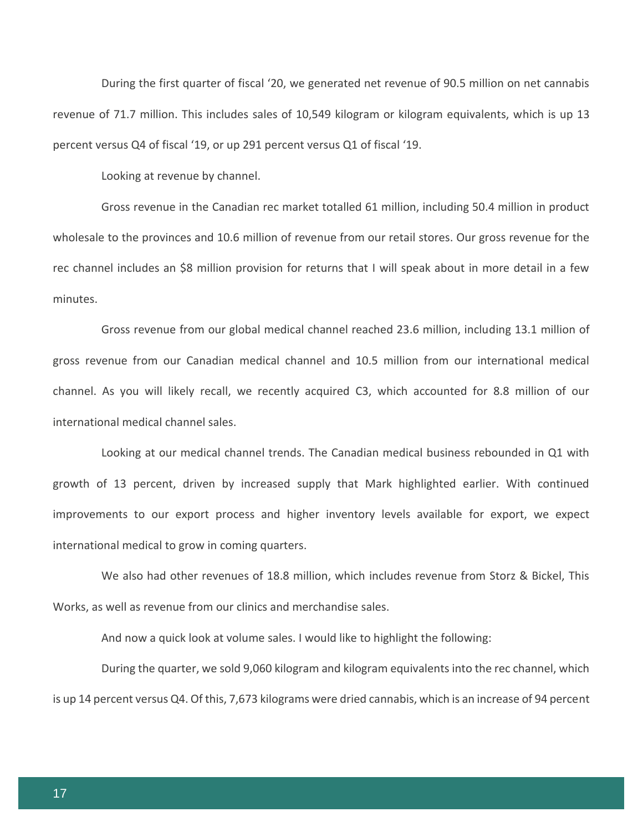During the first quarter of fiscal '20, we generated net revenue of 90.5 million on net cannabis revenue of 71.7 million. This includes sales of 10,549 kilogram or kilogram equivalents, which is up 13 percent versus Q4 of fiscal '19, or up 291 percent versus Q1 of fiscal '19.

Looking at revenue by channel.

Gross revenue in the Canadian rec market totalled 61 million, including 50.4 million in product wholesale to the provinces and 10.6 million of revenue from our retail stores. Our gross revenue for the rec channel includes an \$8 million provision for returns that I will speak about in more detail in a few minutes.

Gross revenue from our global medical channel reached 23.6 million, including 13.1 million of gross revenue from our Canadian medical channel and 10.5 million from our international medical channel. As you will likely recall, we recently acquired C3, which accounted for 8.8 million of our international medical channel sales.

Looking at our medical channel trends. The Canadian medical business rebounded in Q1 with growth of 13 percent, driven by increased supply that Mark highlighted earlier. With continued improvements to our export process and higher inventory levels available for export, we expect international medical to grow in coming quarters.

We also had other revenues of 18.8 million, which includes revenue from Storz & Bickel, This Works, as well as revenue from our clinics and merchandise sales.

And now a quick look at volume sales. I would like to highlight the following:

During the quarter, we sold 9,060 kilogram and kilogram equivalents into the rec channel, which is up 14 percent versus Q4. Of this, 7,673 kilograms were dried cannabis, which is an increase of 94 percent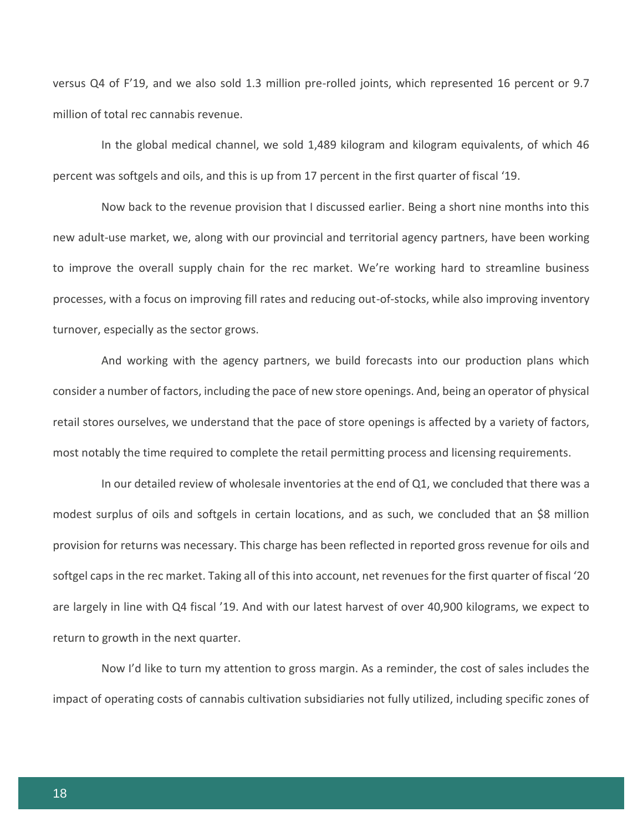versus Q4 of F'19, and we also sold 1.3 million pre-rolled joints, which represented 16 percent or 9.7 million of total rec cannabis revenue.

In the global medical channel, we sold 1,489 kilogram and kilogram equivalents, of which 46 percent was softgels and oils, and this is up from 17 percent in the first quarter of fiscal '19.

Now back to the revenue provision that I discussed earlier. Being a short nine months into this new adult-use market, we, along with our provincial and territorial agency partners, have been working to improve the overall supply chain for the rec market. We're working hard to streamline business processes, with a focus on improving fill rates and reducing out-of-stocks, while also improving inventory turnover, especially as the sector grows.

And working with the agency partners, we build forecasts into our production plans which consider a number of factors, including the pace of new store openings. And, being an operator of physical retail stores ourselves, we understand that the pace of store openings is affected by a variety of factors, most notably the time required to complete the retail permitting process and licensing requirements.

In our detailed review of wholesale inventories at the end of Q1, we concluded that there was a modest surplus of oils and softgels in certain locations, and as such, we concluded that an \$8 million provision for returns was necessary. This charge has been reflected in reported gross revenue for oils and softgel caps in the rec market. Taking all of this into account, net revenues for the first quarter of fiscal '20 are largely in line with Q4 fiscal '19. And with our latest harvest of over 40,900 kilograms, we expect to return to growth in the next quarter.

Now I'd like to turn my attention to gross margin. As a reminder, the cost of sales includes the impact of operating costs of cannabis cultivation subsidiaries not fully utilized, including specific zones of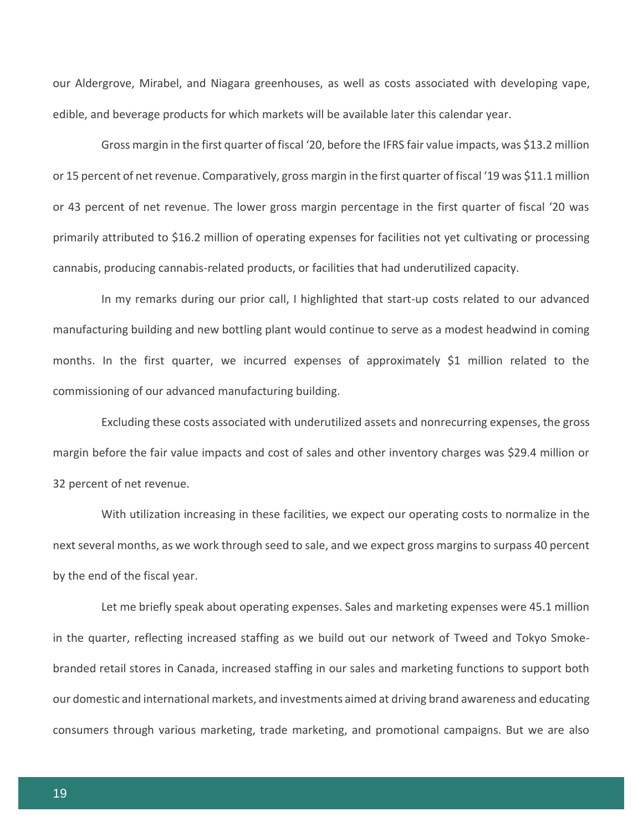our Aldergrove, Mirabel, and Niagara greenhouses, as well as costs associated with developing vape, edible, and beverage products for which markets will be available later this calendar year.

Gross margin in the first quarter of fiscal '20, before the IFRS fair value impacts, was \$13.2 million or 15 percent of net revenue. Comparatively, gross margin in the first quarter of fiscal '19 was \$11.1 million or 43 percent of net revenue. The lower gross margin percentage in the first quarter of fiscal '20 was primarily attributed to \$16.2 million of operating expenses for facilities not yet cultivating or processing cannabis, producing cannabis-related products, or facilities that had underutilized capacity.

In my remarks during our prior call, I highlighted that start-up costs related to our advanced manufacturing building and new bottling plant would continue to serve as a modest headwind in coming months. In the first quarter, we incurred expenses of approximately \$1 million related to the commissioning of our advanced manufacturing building.

Excluding these costs associated with underutilized assets and nonrecurring expenses, the gross margin before the fair value impacts and cost of sales and other inventory charges was \$29.4 million or 32 percent of net revenue.

With utilization increasing in these facilities, we expect our operating costs to normalize in the next several months, as we work through seed to sale, and we expect gross margins to surpass 40 percent by the end of the fiscal year.

Let me briefly speak about operating expenses. Sales and marketing expenses were 45.1 million in the quarter, reflecting increased staffing as we build out our network of Tweed and Tokyo Smokebranded retail stores in Canada, increased staffing in our sales and marketing functions to support both our domestic and international markets, and investments aimed at driving brand awareness and educating consumers through various marketing, trade marketing, and promotional campaigns. But we are also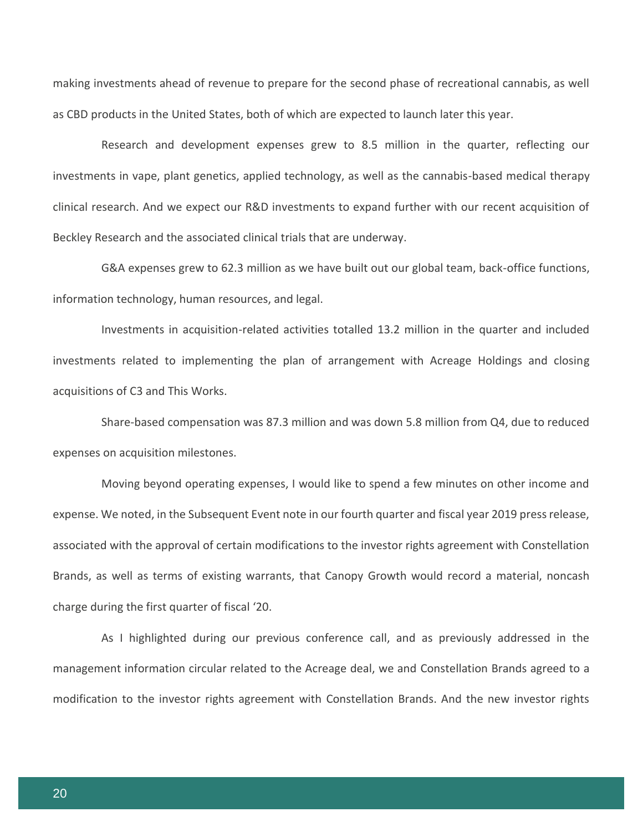making investments ahead of revenue to prepare for the second phase of recreational cannabis, as well as CBD products in the United States, both of which are expected to launch later this year.

Research and development expenses grew to 8.5 million in the quarter, reflecting our investments in vape, plant genetics, applied technology, as well as the cannabis-based medical therapy clinical research. And we expect our R&D investments to expand further with our recent acquisition of Beckley Research and the associated clinical trials that are underway.

G&A expenses grew to 62.3 million as we have built out our global team, back-office functions, information technology, human resources, and legal.

Investments in acquisition-related activities totalled 13.2 million in the quarter and included investments related to implementing the plan of arrangement with Acreage Holdings and closing acquisitions of C3 and This Works.

Share-based compensation was 87.3 million and was down 5.8 million from Q4, due to reduced expenses on acquisition milestones.

Moving beyond operating expenses, I would like to spend a few minutes on other income and expense. We noted, in the Subsequent Event note in our fourth quarter and fiscal year 2019 press release, associated with the approval of certain modifications to the investor rights agreement with Constellation Brands, as well as terms of existing warrants, that Canopy Growth would record a material, noncash charge during the first quarter of fiscal '20.

As I highlighted during our previous conference call, and as previously addressed in the management information circular related to the Acreage deal, we and Constellation Brands agreed to a modification to the investor rights agreement with Constellation Brands. And the new investor rights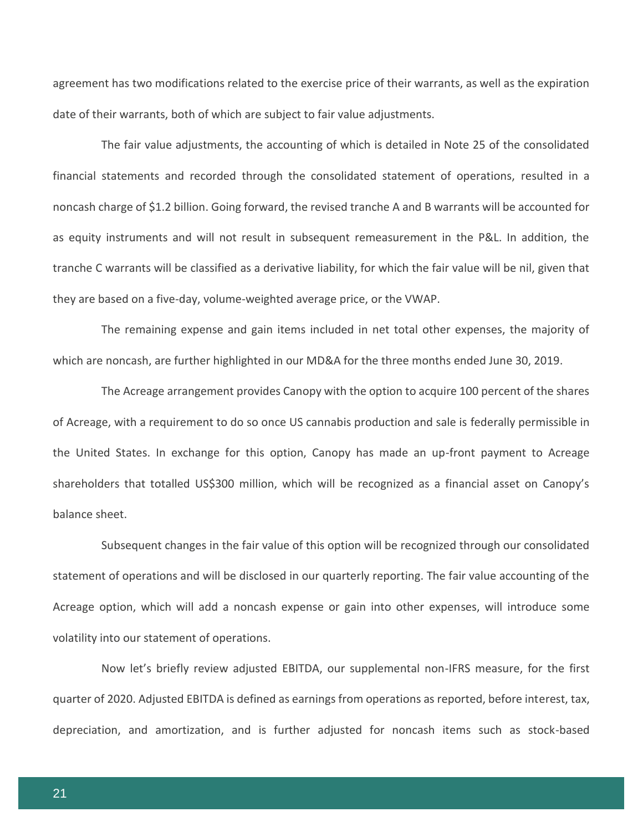agreement has two modifications related to the exercise price of their warrants, as well as the expiration date of their warrants, both of which are subject to fair value adjustments.

The fair value adjustments, the accounting of which is detailed in Note 25 of the consolidated financial statements and recorded through the consolidated statement of operations, resulted in a noncash charge of \$1.2 billion. Going forward, the revised tranche A and B warrants will be accounted for as equity instruments and will not result in subsequent remeasurement in the P&L. In addition, the tranche C warrants will be classified as a derivative liability, for which the fair value will be nil, given that they are based on a five-day, volume-weighted average price, or the VWAP.

The remaining expense and gain items included in net total other expenses, the majority of which are noncash, are further highlighted in our MD&A for the three months ended June 30, 2019.

The Acreage arrangement provides Canopy with the option to acquire 100 percent of the shares of Acreage, with a requirement to do so once US cannabis production and sale is federally permissible in the United States. In exchange for this option, Canopy has made an up-front payment to Acreage shareholders that totalled US\$300 million, which will be recognized as a financial asset on Canopy's balance sheet.

Subsequent changes in the fair value of this option will be recognized through our consolidated statement of operations and will be disclosed in our quarterly reporting. The fair value accounting of the Acreage option, which will add a noncash expense or gain into other expenses, will introduce some volatility into our statement of operations.

Now let's briefly review adjusted EBITDA, our supplemental non-IFRS measure, for the first quarter of 2020. Adjusted EBITDA is defined as earnings from operations as reported, before interest, tax, depreciation, and amortization, and is further adjusted for noncash items such as stock-based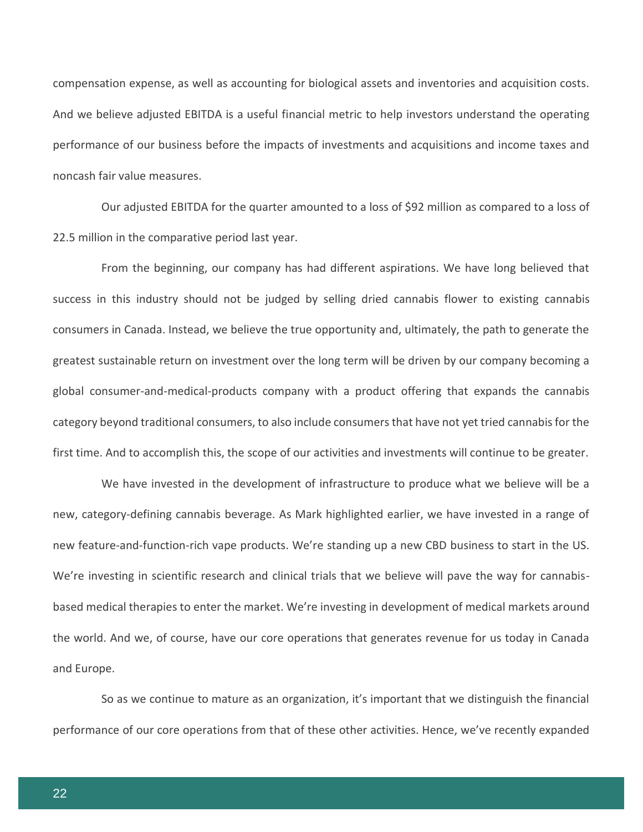compensation expense, as well as accounting for biological assets and inventories and acquisition costs. And we believe adjusted EBITDA is a useful financial metric to help investors understand the operating performance of our business before the impacts of investments and acquisitions and income taxes and noncash fair value measures.

Our adjusted EBITDA for the quarter amounted to a loss of \$92 million as compared to a loss of 22.5 million in the comparative period last year.

From the beginning, our company has had different aspirations. We have long believed that success in this industry should not be judged by selling dried cannabis flower to existing cannabis consumers in Canada. Instead, we believe the true opportunity and, ultimately, the path to generate the greatest sustainable return on investment over the long term will be driven by our company becoming a global consumer-and-medical-products company with a product offering that expands the cannabis category beyond traditional consumers, to also include consumers that have not yet tried cannabis for the first time. And to accomplish this, the scope of our activities and investments will continue to be greater.

We have invested in the development of infrastructure to produce what we believe will be a new, category-defining cannabis beverage. As Mark highlighted earlier, we have invested in a range of new feature-and-function-rich vape products. We're standing up a new CBD business to start in the US. We're investing in scientific research and clinical trials that we believe will pave the way for cannabisbased medical therapies to enter the market. We're investing in development of medical markets around the world. And we, of course, have our core operations that generates revenue for us today in Canada and Europe.

So as we continue to mature as an organization, it's important that we distinguish the financial performance of our core operations from that of these other activities. Hence, we've recently expanded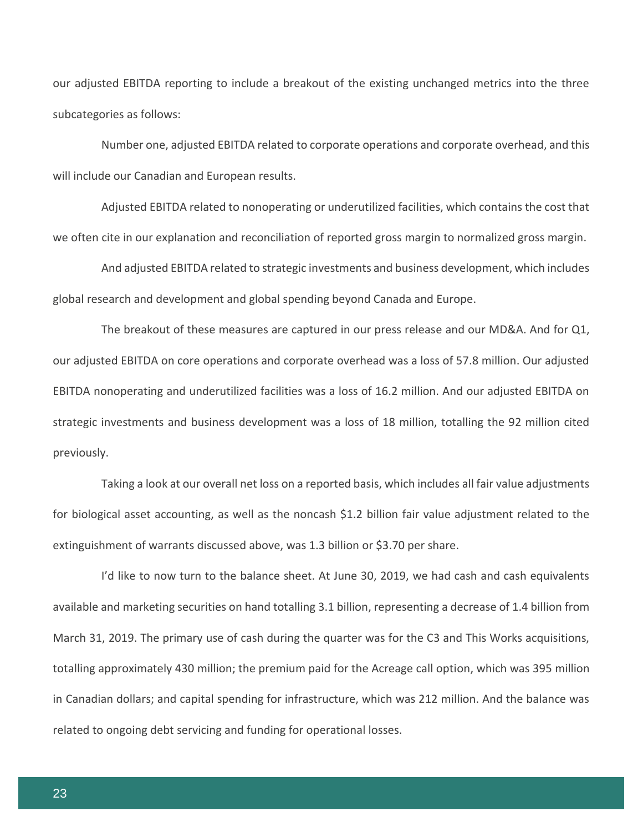our adjusted EBITDA reporting to include a breakout of the existing unchanged metrics into the three subcategories as follows:

Number one, adjusted EBITDA related to corporate operations and corporate overhead, and this will include our Canadian and European results.

Adjusted EBITDA related to nonoperating or underutilized facilities, which contains the cost that we often cite in our explanation and reconciliation of reported gross margin to normalized gross margin.

And adjusted EBITDA related to strategic investments and business development, which includes global research and development and global spending beyond Canada and Europe.

The breakout of these measures are captured in our press release and our MD&A. And for Q1, our adjusted EBITDA on core operations and corporate overhead was a loss of 57.8 million. Our adjusted EBITDA nonoperating and underutilized facilities was a loss of 16.2 million. And our adjusted EBITDA on strategic investments and business development was a loss of 18 million, totalling the 92 million cited previously.

Taking a look at our overall net loss on a reported basis, which includes all fair value adjustments for biological asset accounting, as well as the noncash \$1.2 billion fair value adjustment related to the extinguishment of warrants discussed above, was 1.3 billion or \$3.70 per share.

I'd like to now turn to the balance sheet. At June 30, 2019, we had cash and cash equivalents available and marketing securities on hand totalling 3.1 billion, representing a decrease of 1.4 billion from March 31, 2019. The primary use of cash during the quarter was for the C3 and This Works acquisitions, totalling approximately 430 million; the premium paid for the Acreage call option, which was 395 million in Canadian dollars; and capital spending for infrastructure, which was 212 million. And the balance was related to ongoing debt servicing and funding for operational losses.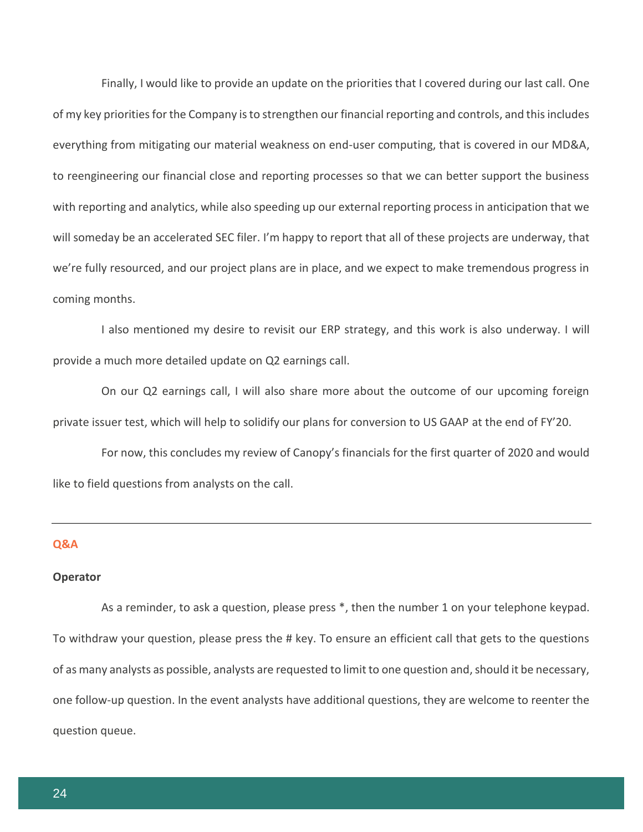Finally, I would like to provide an update on the priorities that I covered during our last call. One of my key priorities for the Company is to strengthen our financial reporting and controls, and this includes everything from mitigating our material weakness on end-user computing, that is covered in our MD&A, to reengineering our financial close and reporting processes so that we can better support the business with reporting and analytics, while also speeding up our external reporting process in anticipation that we will someday be an accelerated SEC filer. I'm happy to report that all of these projects are underway, that we're fully resourced, and our project plans are in place, and we expect to make tremendous progress in coming months.

I also mentioned my desire to revisit our ERP strategy, and this work is also underway. I will provide a much more detailed update on Q2 earnings call.

On our Q2 earnings call, I will also share more about the outcome of our upcoming foreign private issuer test, which will help to solidify our plans for conversion to US GAAP at the end of FY'20.

For now, this concludes my review of Canopy's financials for the first quarter of 2020 and would like to field questions from analysts on the call.

#### **Q&A**

#### **Operator**

As a reminder, to ask a question, please press \*, then the number 1 on your telephone keypad. To withdraw your question, please press the # key. To ensure an efficient call that gets to the questions of as many analysts as possible, analysts are requested to limit to one question and, should it be necessary, one follow-up question. In the event analysts have additional questions, they are welcome to reenter the question queue.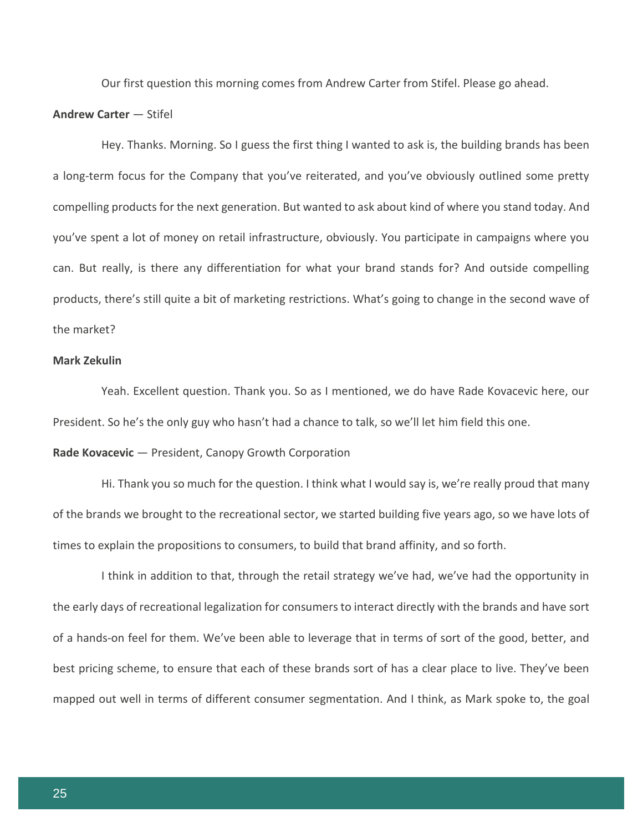Our first question this morning comes from Andrew Carter from Stifel. Please go ahead.

#### **Andrew Carter** — Stifel

Hey. Thanks. Morning. So I guess the first thing I wanted to ask is, the building brands has been a long-term focus for the Company that you've reiterated, and you've obviously outlined some pretty compelling products for the next generation. But wanted to ask about kind of where you stand today. And you've spent a lot of money on retail infrastructure, obviously. You participate in campaigns where you can. But really, is there any differentiation for what your brand stands for? And outside compelling products, there's still quite a bit of marketing restrictions. What's going to change in the second wave of the market?

# **Mark Zekulin**

Yeah. Excellent question. Thank you. So as I mentioned, we do have Rade Kovacevic here, our President. So he's the only guy who hasn't had a chance to talk, so we'll let him field this one.

# **Rade Kovacevic** — President, Canopy Growth Corporation

Hi. Thank you so much for the question. I think what I would say is, we're really proud that many of the brands we brought to the recreational sector, we started building five years ago, so we have lots of times to explain the propositions to consumers, to build that brand affinity, and so forth.

I think in addition to that, through the retail strategy we've had, we've had the opportunity in the early days of recreational legalization for consumers to interact directly with the brands and have sort of a hands-on feel for them. We've been able to leverage that in terms of sort of the good, better, and best pricing scheme, to ensure that each of these brands sort of has a clear place to live. They've been mapped out well in terms of different consumer segmentation. And I think, as Mark spoke to, the goal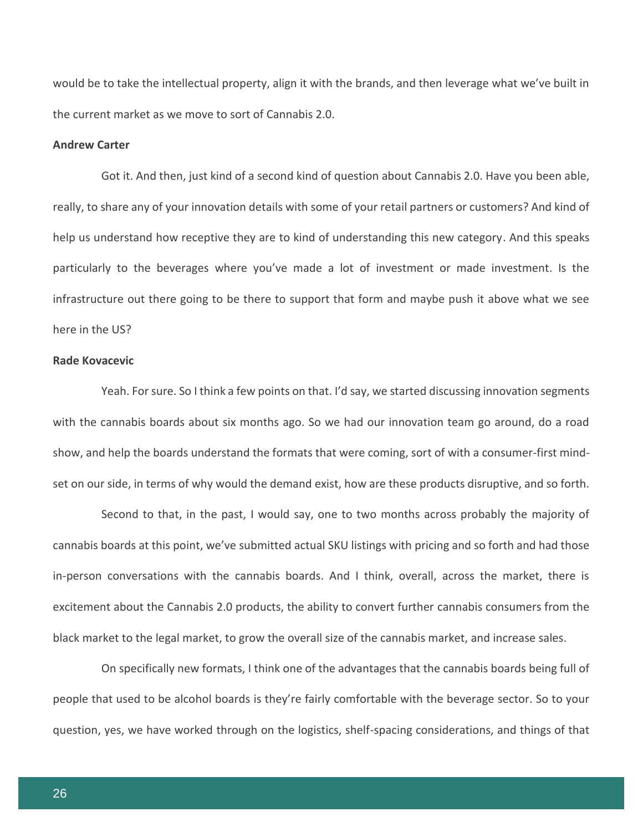would be to take the intellectual property, align it with the brands, and then leverage what we've built in the current market as we move to sort of Cannabis 2.0.

#### **Andrew Carter**

Got it. And then, just kind of a second kind of question about Cannabis 2.0. Have you been able, really, to share any of your innovation details with some of your retail partners or customers? And kind of help us understand how receptive they are to kind of understanding this new category. And this speaks particularly to the beverages where you've made a lot of investment or made investment. Is the infrastructure out there going to be there to support that form and maybe push it above what we see here in the US?

# **Rade Kovacevic**

Yeah. For sure. So I think a few points on that. I'd say, we started discussing innovation segments with the cannabis boards about six months ago. So we had our innovation team go around, do a road show, and help the boards understand the formats that were coming, sort of with a consumer-first mindset on our side, in terms of why would the demand exist, how are these products disruptive, and so forth.

Second to that, in the past, I would say, one to two months across probably the majority of cannabis boards at this point, we've submitted actual SKU listings with pricing and so forth and had those in-person conversations with the cannabis boards. And I think, overall, across the market, there is excitement about the Cannabis 2.0 products, the ability to convert further cannabis consumers from the black market to the legal market, to grow the overall size of the cannabis market, and increase sales.

On specifically new formats, I think one of the advantages that the cannabis boards being full of people that used to be alcohol boards is they're fairly comfortable with the beverage sector. So to your question, yes, we have worked through on the logistics, shelf-spacing considerations, and things of that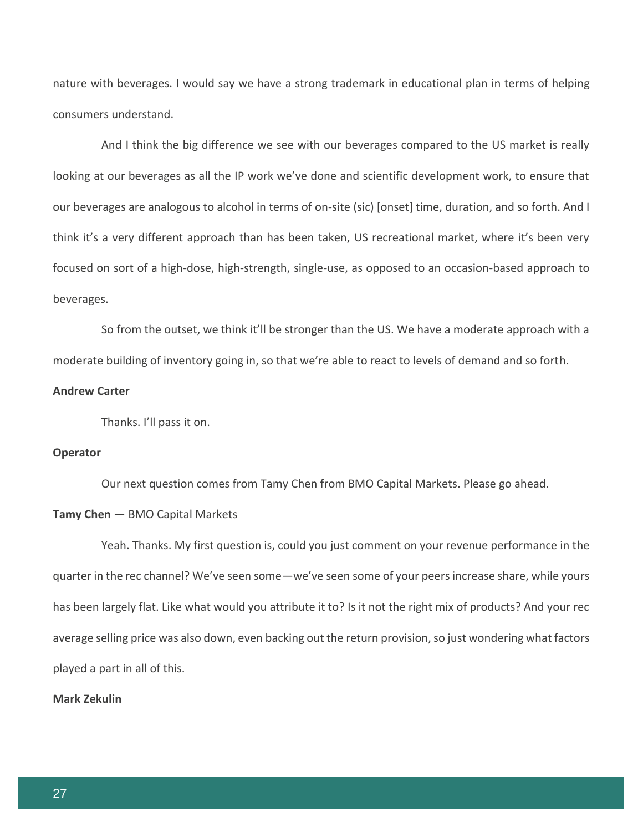nature with beverages. I would say we have a strong trademark in educational plan in terms of helping consumers understand.

And I think the big difference we see with our beverages compared to the US market is really looking at our beverages as all the IP work we've done and scientific development work, to ensure that our beverages are analogous to alcohol in terms of on-site (sic) [onset] time, duration, and so forth. And I think it's a very different approach than has been taken, US recreational market, where it's been very focused on sort of a high-dose, high-strength, single-use, as opposed to an occasion-based approach to beverages.

So from the outset, we think it'll be stronger than the US. We have a moderate approach with a moderate building of inventory going in, so that we're able to react to levels of demand and so forth.

#### **Andrew Carter**

Thanks. I'll pass it on.

# **Operator**

Our next question comes from Tamy Chen from BMO Capital Markets. Please go ahead.

#### **Tamy Chen** — BMO Capital Markets

Yeah. Thanks. My first question is, could you just comment on your revenue performance in the quarter in the rec channel? We've seen some—we've seen some of your peers increase share, while yours has been largely flat. Like what would you attribute it to? Is it not the right mix of products? And your rec average selling price was also down, even backing out the return provision, so just wondering what factors played a part in all of this.

## **Mark Zekulin**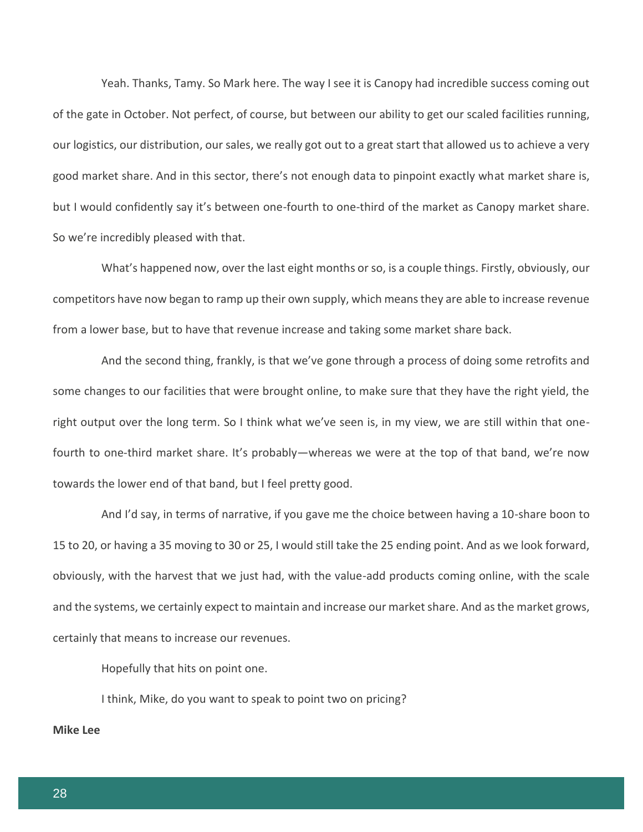Yeah. Thanks, Tamy. So Mark here. The way I see it is Canopy had incredible success coming out of the gate in October. Not perfect, of course, but between our ability to get our scaled facilities running, our logistics, our distribution, our sales, we really got out to a great start that allowed us to achieve a very good market share. And in this sector, there's not enough data to pinpoint exactly what market share is, but I would confidently say it's between one-fourth to one-third of the market as Canopy market share. So we're incredibly pleased with that.

What's happened now, over the last eight months or so, is a couple things. Firstly, obviously, our competitors have now began to ramp up their own supply, which means they are able to increase revenue from a lower base, but to have that revenue increase and taking some market share back.

And the second thing, frankly, is that we've gone through a process of doing some retrofits and some changes to our facilities that were brought online, to make sure that they have the right yield, the right output over the long term. So I think what we've seen is, in my view, we are still within that onefourth to one-third market share. It's probably—whereas we were at the top of that band, we're now towards the lower end of that band, but I feel pretty good.

And I'd say, in terms of narrative, if you gave me the choice between having a 10-share boon to 15 to 20, or having a 35 moving to 30 or 25, I would still take the 25 ending point. And as we look forward, obviously, with the harvest that we just had, with the value-add products coming online, with the scale and the systems, we certainly expect to maintain and increase our market share. And as the market grows, certainly that means to increase our revenues.

Hopefully that hits on point one.

I think, Mike, do you want to speak to point two on pricing?

# **Mike Lee**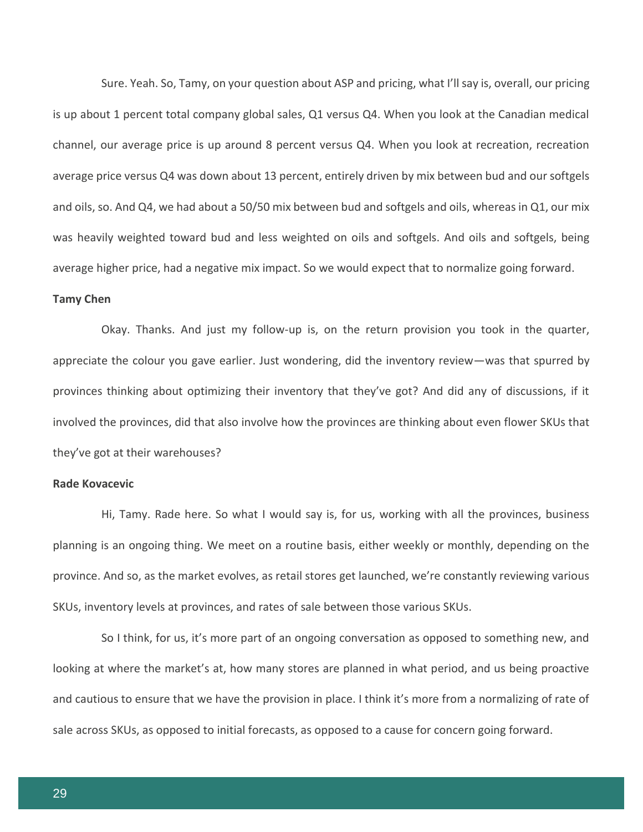Sure. Yeah. So, Tamy, on your question about ASP and pricing, what I'll say is, overall, our pricing is up about 1 percent total company global sales, Q1 versus Q4. When you look at the Canadian medical channel, our average price is up around 8 percent versus Q4. When you look at recreation, recreation average price versus Q4 was down about 13 percent, entirely driven by mix between bud and our softgels and oils, so. And Q4, we had about a 50/50 mix between bud and softgels and oils, whereas in Q1, our mix was heavily weighted toward bud and less weighted on oils and softgels. And oils and softgels, being average higher price, had a negative mix impact. So we would expect that to normalize going forward.

#### **Tamy Chen**

Okay. Thanks. And just my follow-up is, on the return provision you took in the quarter, appreciate the colour you gave earlier. Just wondering, did the inventory review—was that spurred by provinces thinking about optimizing their inventory that they've got? And did any of discussions, if it involved the provinces, did that also involve how the provinces are thinking about even flower SKUs that they've got at their warehouses?

# **Rade Kovacevic**

Hi, Tamy. Rade here. So what I would say is, for us, working with all the provinces, business planning is an ongoing thing. We meet on a routine basis, either weekly or monthly, depending on the province. And so, as the market evolves, as retail stores get launched, we're constantly reviewing various SKUs, inventory levels at provinces, and rates of sale between those various SKUs.

So I think, for us, it's more part of an ongoing conversation as opposed to something new, and looking at where the market's at, how many stores are planned in what period, and us being proactive and cautious to ensure that we have the provision in place. I think it's more from a normalizing of rate of sale across SKUs, as opposed to initial forecasts, as opposed to a cause for concern going forward.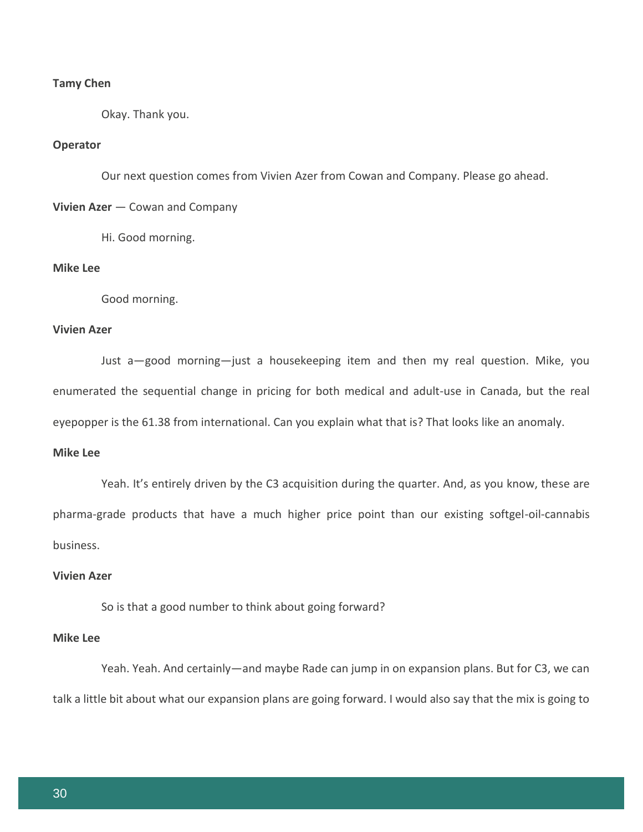# **Tamy Chen**

Okay. Thank you.

# **Operator**

Our next question comes from Vivien Azer from Cowan and Company. Please go ahead.

**Vivien Azer** — Cowan and Company

Hi. Good morning.

#### **Mike Lee**

Good morning.

# **Vivien Azer**

Just a—good morning—just a housekeeping item and then my real question. Mike, you enumerated the sequential change in pricing for both medical and adult-use in Canada, but the real eyepopper is the 61.38 from international. Can you explain what that is? That looks like an anomaly.

# **Mike Lee**

Yeah. It's entirely driven by the C3 acquisition during the quarter. And, as you know, these are pharma-grade products that have a much higher price point than our existing softgel-oil-cannabis business.

# **Vivien Azer**

So is that a good number to think about going forward?

# **Mike Lee**

Yeah. Yeah. And certainly—and maybe Rade can jump in on expansion plans. But for C3, we can talk a little bit about what our expansion plans are going forward. I would also say that the mix is going to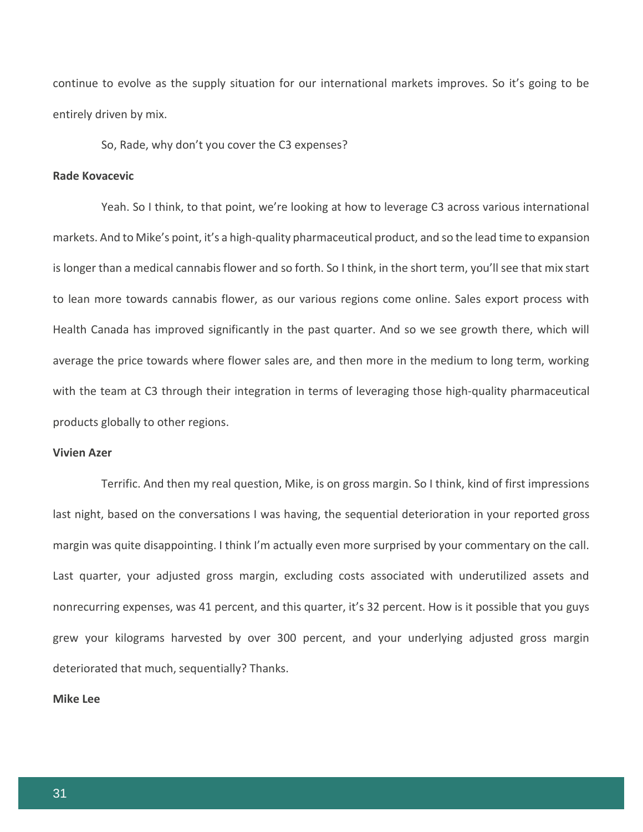continue to evolve as the supply situation for our international markets improves. So it's going to be entirely driven by mix.

So, Rade, why don't you cover the C3 expenses?

# **Rade Kovacevic**

Yeah. So I think, to that point, we're looking at how to leverage C3 across various international markets. And to Mike's point, it's a high-quality pharmaceutical product, and so the lead time to expansion is longer than a medical cannabis flower and so forth. So I think, in the short term, you'll see that mix start to lean more towards cannabis flower, as our various regions come online. Sales export process with Health Canada has improved significantly in the past quarter. And so we see growth there, which will average the price towards where flower sales are, and then more in the medium to long term, working with the team at C3 through their integration in terms of leveraging those high-quality pharmaceutical products globally to other regions.

## **Vivien Azer**

Terrific. And then my real question, Mike, is on gross margin. So I think, kind of first impressions last night, based on the conversations I was having, the sequential deterioration in your reported gross margin was quite disappointing. I think I'm actually even more surprised by your commentary on the call. Last quarter, your adjusted gross margin, excluding costs associated with underutilized assets and nonrecurring expenses, was 41 percent, and this quarter, it's 32 percent. How is it possible that you guys grew your kilograms harvested by over 300 percent, and your underlying adjusted gross margin deteriorated that much, sequentially? Thanks.

#### **Mike Lee**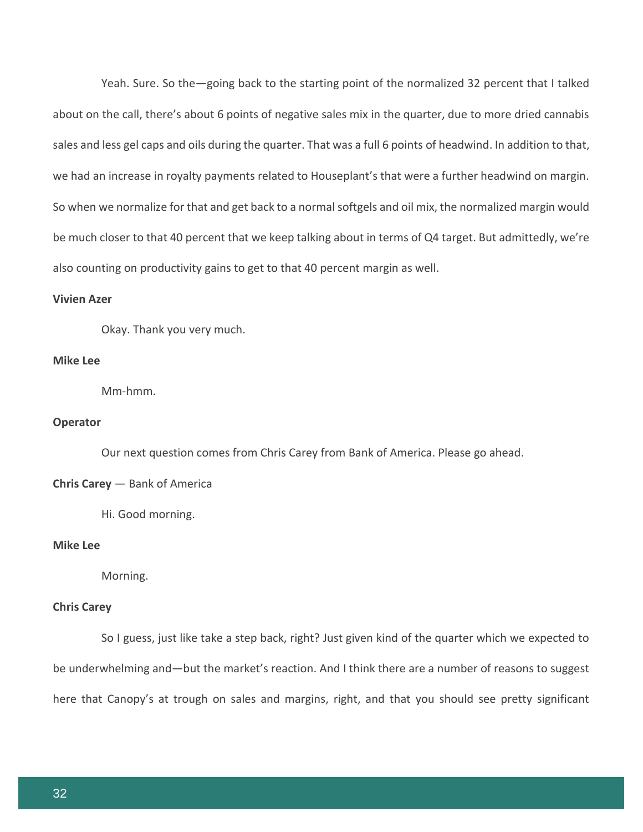Yeah. Sure. So the—going back to the starting point of the normalized 32 percent that I talked about on the call, there's about 6 points of negative sales mix in the quarter, due to more dried cannabis sales and less gel caps and oils during the quarter. That was a full 6 points of headwind. In addition to that, we had an increase in royalty payments related to Houseplant's that were a further headwind on margin. So when we normalize for that and get back to a normal softgels and oil mix, the normalized margin would be much closer to that 40 percent that we keep talking about in terms of Q4 target. But admittedly, we're also counting on productivity gains to get to that 40 percent margin as well.

#### **Vivien Azer**

Okay. Thank you very much.

#### **Mike Lee**

Mm-hmm.

# **Operator**

Our next question comes from Chris Carey from Bank of America. Please go ahead.

#### **Chris Carey** — Bank of America

Hi. Good morning.

# **Mike Lee**

Morning.

# **Chris Carey**

So I guess, just like take a step back, right? Just given kind of the quarter which we expected to be underwhelming and—but the market's reaction. And I think there are a number of reasons to suggest here that Canopy's at trough on sales and margins, right, and that you should see pretty significant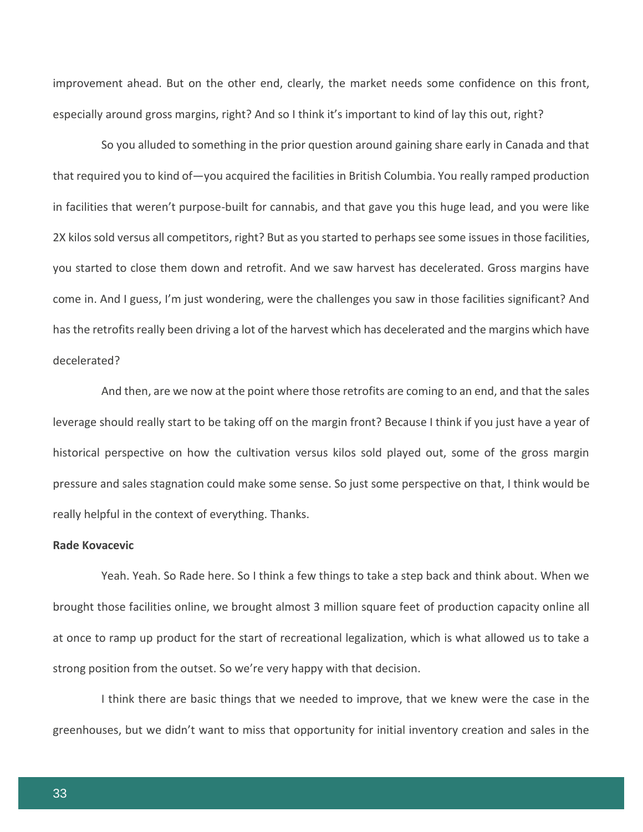improvement ahead. But on the other end, clearly, the market needs some confidence on this front, especially around gross margins, right? And so I think it's important to kind of lay this out, right?

So you alluded to something in the prior question around gaining share early in Canada and that that required you to kind of—you acquired the facilities in British Columbia. You really ramped production in facilities that weren't purpose-built for cannabis, and that gave you this huge lead, and you were like 2X kilos sold versus all competitors, right? But as you started to perhaps see some issues in those facilities, you started to close them down and retrofit. And we saw harvest has decelerated. Gross margins have come in. And I guess, I'm just wondering, were the challenges you saw in those facilities significant? And has the retrofits really been driving a lot of the harvest which has decelerated and the margins which have decelerated?

And then, are we now at the point where those retrofits are coming to an end, and that the sales leverage should really start to be taking off on the margin front? Because I think if you just have a year of historical perspective on how the cultivation versus kilos sold played out, some of the gross margin pressure and sales stagnation could make some sense. So just some perspective on that, I think would be really helpful in the context of everything. Thanks.

# **Rade Kovacevic**

Yeah. Yeah. So Rade here. So I think a few things to take a step back and think about. When we brought those facilities online, we brought almost 3 million square feet of production capacity online all at once to ramp up product for the start of recreational legalization, which is what allowed us to take a strong position from the outset. So we're very happy with that decision.

I think there are basic things that we needed to improve, that we knew were the case in the greenhouses, but we didn't want to miss that opportunity for initial inventory creation and sales in the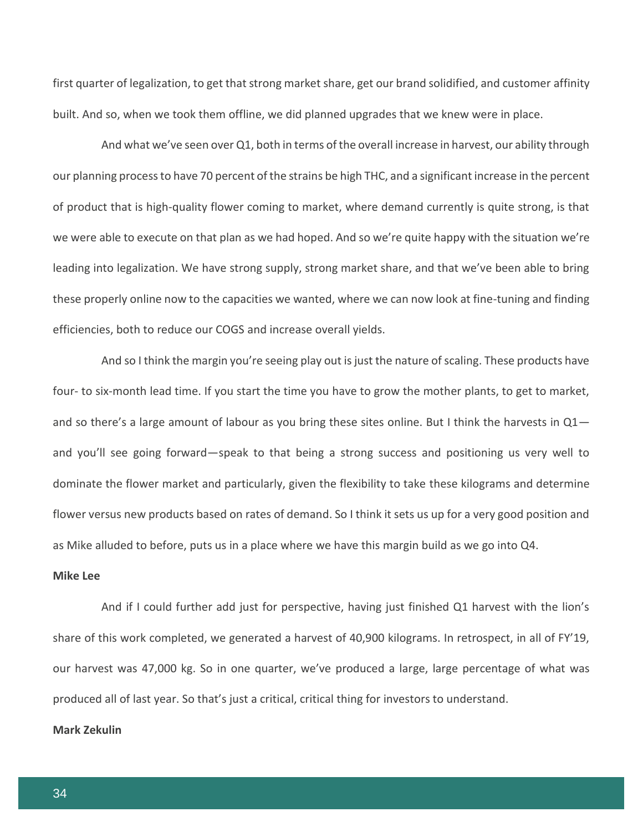first quarter of legalization, to get that strong market share, get our brand solidified, and customer affinity built. And so, when we took them offline, we did planned upgrades that we knew were in place.

And what we've seen over Q1, both in terms of the overall increase in harvest, our ability through our planning process to have 70 percent of the strains be high THC, and a significant increase in the percent of product that is high-quality flower coming to market, where demand currently is quite strong, is that we were able to execute on that plan as we had hoped. And so we're quite happy with the situation we're leading into legalization. We have strong supply, strong market share, and that we've been able to bring these properly online now to the capacities we wanted, where we can now look at fine-tuning and finding efficiencies, both to reduce our COGS and increase overall yields.

And so I think the margin you're seeing play out is just the nature of scaling. These products have four- to six-month lead time. If you start the time you have to grow the mother plants, to get to market, and so there's a large amount of labour as you bring these sites online. But I think the harvests in  $Q1$  and you'll see going forward—speak to that being a strong success and positioning us very well to dominate the flower market and particularly, given the flexibility to take these kilograms and determine flower versus new products based on rates of demand. So I think it sets us up for a very good position and as Mike alluded to before, puts us in a place where we have this margin build as we go into Q4.

# **Mike Lee**

And if I could further add just for perspective, having just finished Q1 harvest with the lion's share of this work completed, we generated a harvest of 40,900 kilograms. In retrospect, in all of FY'19, our harvest was 47,000 kg. So in one quarter, we've produced a large, large percentage of what was produced all of last year. So that's just a critical, critical thing for investors to understand.

# **Mark Zekulin**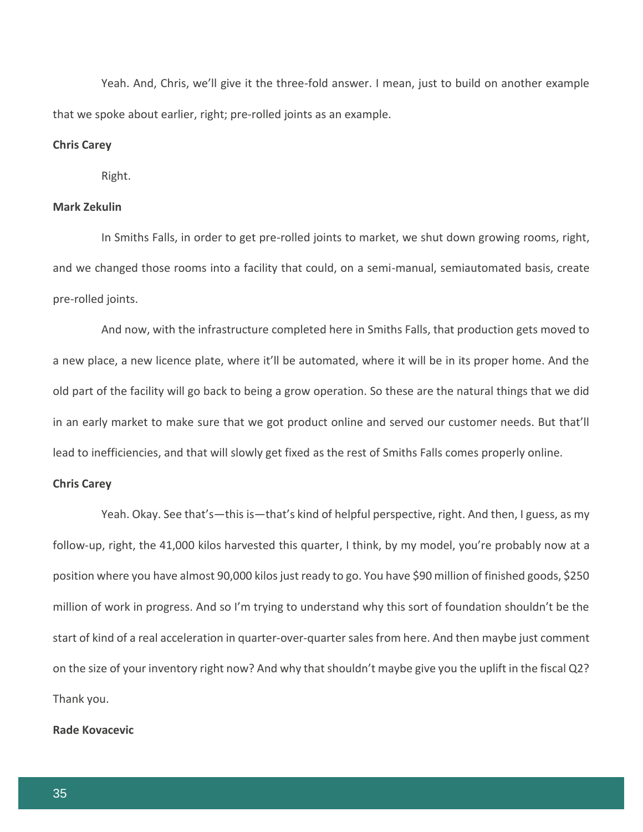Yeah. And, Chris, we'll give it the three-fold answer. I mean, just to build on another example that we spoke about earlier, right; pre-rolled joints as an example.

# **Chris Carey**

Right.

# **Mark Zekulin**

In Smiths Falls, in order to get pre-rolled joints to market, we shut down growing rooms, right, and we changed those rooms into a facility that could, on a semi-manual, semiautomated basis, create pre-rolled joints.

And now, with the infrastructure completed here in Smiths Falls, that production gets moved to a new place, a new licence plate, where it'll be automated, where it will be in its proper home. And the old part of the facility will go back to being a grow operation. So these are the natural things that we did in an early market to make sure that we got product online and served our customer needs. But that'll lead to inefficiencies, and that will slowly get fixed as the rest of Smiths Falls comes properly online.

#### **Chris Carey**

Yeah. Okay. See that's—this is—that's kind of helpful perspective, right. And then, I guess, as my follow-up, right, the 41,000 kilos harvested this quarter, I think, by my model, you're probably now at a position where you have almost 90,000 kilos just ready to go. You have \$90 million of finished goods, \$250 million of work in progress. And so I'm trying to understand why this sort of foundation shouldn't be the start of kind of a real acceleration in quarter-over-quarter sales from here. And then maybe just comment on the size of your inventory right now? And why that shouldn't maybe give you the uplift in the fiscal Q2? Thank you.

#### **Rade Kovacevic**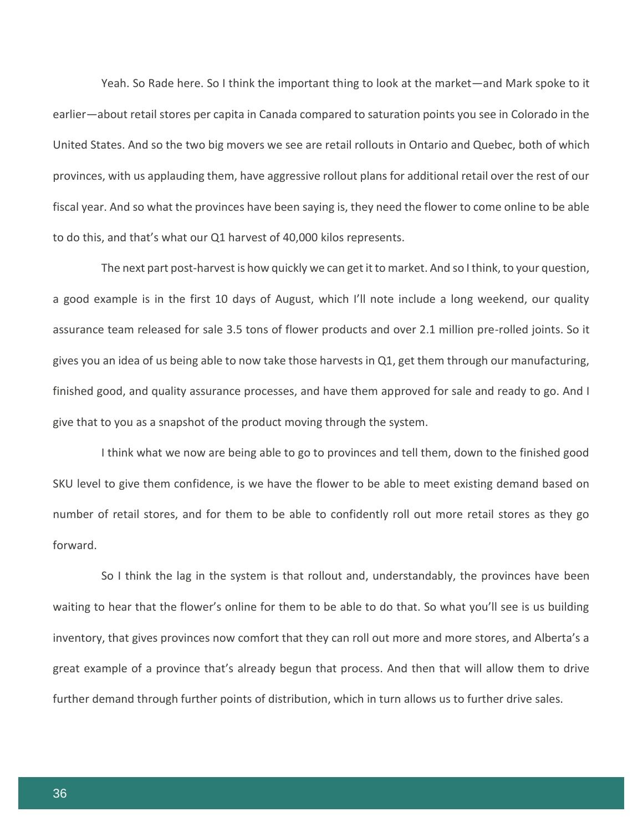Yeah. So Rade here. So I think the important thing to look at the market—and Mark spoke to it earlier—about retail stores per capita in Canada compared to saturation points you see in Colorado in the United States. And so the two big movers we see are retail rollouts in Ontario and Quebec, both of which provinces, with us applauding them, have aggressive rollout plans for additional retail over the rest of our fiscal year. And so what the provinces have been saying is, they need the flower to come online to be able to do this, and that's what our Q1 harvest of 40,000 kilos represents.

The next part post-harvest is how quickly we can get it to market. And so I think, to your question, a good example is in the first 10 days of August, which I'll note include a long weekend, our quality assurance team released for sale 3.5 tons of flower products and over 2.1 million pre-rolled joints. So it gives you an idea of us being able to now take those harvests in Q1, get them through our manufacturing, finished good, and quality assurance processes, and have them approved for sale and ready to go. And I give that to you as a snapshot of the product moving through the system.

I think what we now are being able to go to provinces and tell them, down to the finished good SKU level to give them confidence, is we have the flower to be able to meet existing demand based on number of retail stores, and for them to be able to confidently roll out more retail stores as they go forward.

So I think the lag in the system is that rollout and, understandably, the provinces have been waiting to hear that the flower's online for them to be able to do that. So what you'll see is us building inventory, that gives provinces now comfort that they can roll out more and more stores, and Alberta's a great example of a province that's already begun that process. And then that will allow them to drive further demand through further points of distribution, which in turn allows us to further drive sales.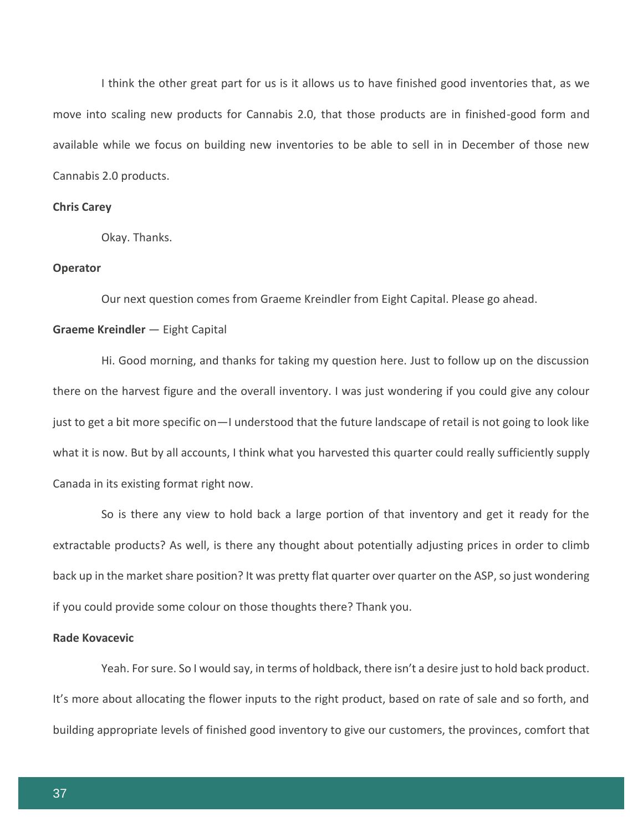I think the other great part for us is it allows us to have finished good inventories that, as we move into scaling new products for Cannabis 2.0, that those products are in finished-good form and available while we focus on building new inventories to be able to sell in in December of those new Cannabis 2.0 products.

# **Chris Carey**

Okay. Thanks.

#### **Operator**

Our next question comes from Graeme Kreindler from Eight Capital. Please go ahead.

#### **Graeme Kreindler** — Eight Capital

Hi. Good morning, and thanks for taking my question here. Just to follow up on the discussion there on the harvest figure and the overall inventory. I was just wondering if you could give any colour just to get a bit more specific on—I understood that the future landscape of retail is not going to look like what it is now. But by all accounts, I think what you harvested this quarter could really sufficiently supply Canada in its existing format right now.

So is there any view to hold back a large portion of that inventory and get it ready for the extractable products? As well, is there any thought about potentially adjusting prices in order to climb back up in the market share position? It was pretty flat quarter over quarter on the ASP, so just wondering if you could provide some colour on those thoughts there? Thank you.

# **Rade Kovacevic**

Yeah. For sure. So I would say, in terms of holdback, there isn't a desire just to hold back product. It's more about allocating the flower inputs to the right product, based on rate of sale and so forth, and building appropriate levels of finished good inventory to give our customers, the provinces, comfort that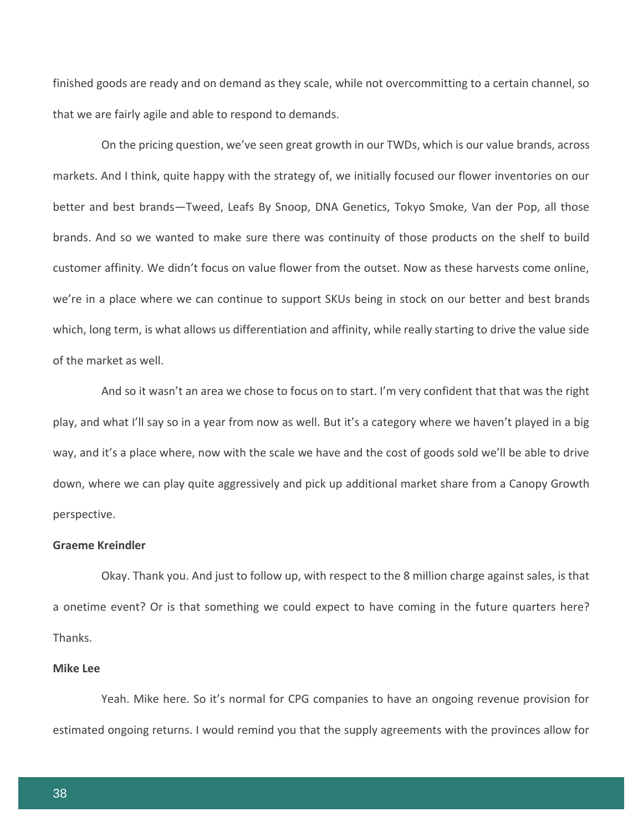finished goods are ready and on demand as they scale, while not overcommitting to a certain channel, so that we are fairly agile and able to respond to demands.

On the pricing question, we've seen great growth in our TWDs, which is our value brands, across markets. And I think, quite happy with the strategy of, we initially focused our flower inventories on our better and best brands—Tweed, Leafs By Snoop, DNA Genetics, Tokyo Smoke, Van der Pop, all those brands. And so we wanted to make sure there was continuity of those products on the shelf to build customer affinity. We didn't focus on value flower from the outset. Now as these harvests come online, we're in a place where we can continue to support SKUs being in stock on our better and best brands which, long term, is what allows us differentiation and affinity, while really starting to drive the value side of the market as well.

And so it wasn't an area we chose to focus on to start. I'm very confident that that was the right play, and what I'll say so in a year from now as well. But it's a category where we haven't played in a big way, and it's a place where, now with the scale we have and the cost of goods sold we'll be able to drive down, where we can play quite aggressively and pick up additional market share from a Canopy Growth perspective.

# **Graeme Kreindler**

Okay. Thank you. And just to follow up, with respect to the 8 million charge against sales, is that a onetime event? Or is that something we could expect to have coming in the future quarters here? Thanks.

# **Mike Lee**

Yeah. Mike here. So it's normal for CPG companies to have an ongoing revenue provision for estimated ongoing returns. I would remind you that the supply agreements with the provinces allow for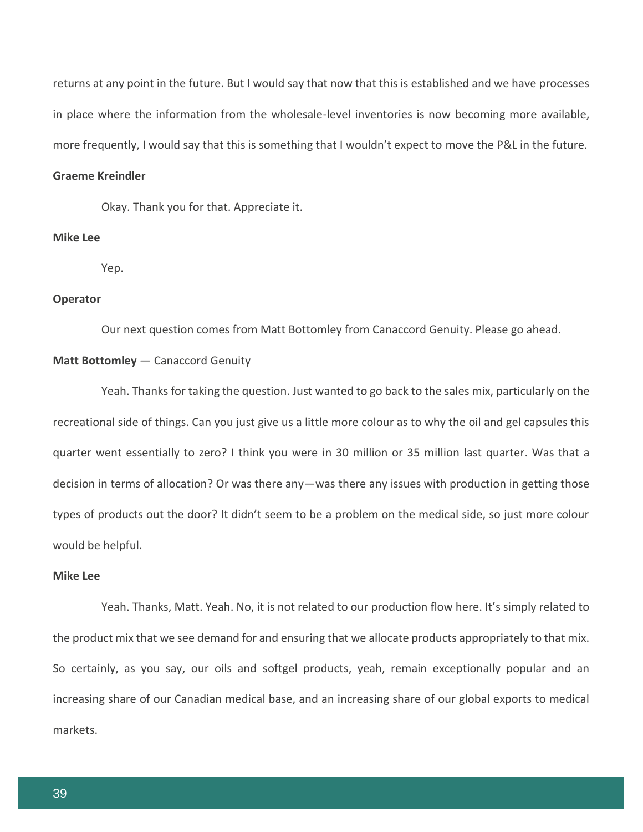returns at any point in the future. But I would say that now that this is established and we have processes in place where the information from the wholesale-level inventories is now becoming more available, more frequently, I would say that this is something that I wouldn't expect to move the P&L in the future.

#### **Graeme Kreindler**

Okay. Thank you for that. Appreciate it.

# **Mike Lee**

Yep.

#### **Operator**

Our next question comes from Matt Bottomley from Canaccord Genuity. Please go ahead.

#### **Matt Bottomley** — Canaccord Genuity

Yeah. Thanks for taking the question. Just wanted to go back to the sales mix, particularly on the recreational side of things. Can you just give us a little more colour as to why the oil and gel capsules this quarter went essentially to zero? I think you were in 30 million or 35 million last quarter. Was that a decision in terms of allocation? Or was there any—was there any issues with production in getting those types of products out the door? It didn't seem to be a problem on the medical side, so just more colour would be helpful.

# **Mike Lee**

Yeah. Thanks, Matt. Yeah. No, it is not related to our production flow here. It's simply related to the product mix that we see demand for and ensuring that we allocate products appropriately to that mix. So certainly, as you say, our oils and softgel products, yeah, remain exceptionally popular and an increasing share of our Canadian medical base, and an increasing share of our global exports to medical markets.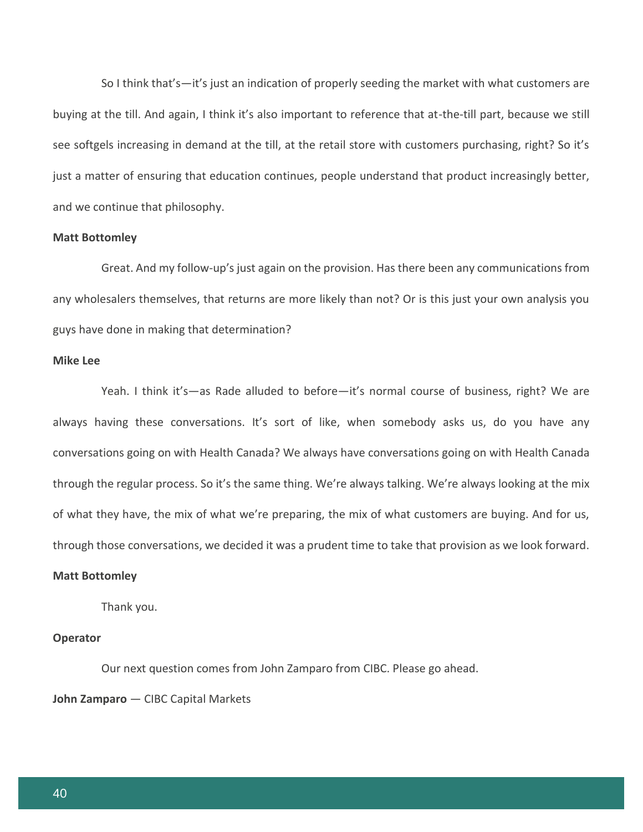So I think that's—it's just an indication of properly seeding the market with what customers are buying at the till. And again, I think it's also important to reference that at-the-till part, because we still see softgels increasing in demand at the till, at the retail store with customers purchasing, right? So it's just a matter of ensuring that education continues, people understand that product increasingly better, and we continue that philosophy.

## **Matt Bottomley**

Great. And my follow-up's just again on the provision. Has there been any communications from any wholesalers themselves, that returns are more likely than not? Or is this just your own analysis you guys have done in making that determination?

#### **Mike Lee**

Yeah. I think it's—as Rade alluded to before—it's normal course of business, right? We are always having these conversations. It's sort of like, when somebody asks us, do you have any conversations going on with Health Canada? We always have conversations going on with Health Canada through the regular process. So it's the same thing. We're always talking. We're always looking at the mix of what they have, the mix of what we're preparing, the mix of what customers are buying. And for us, through those conversations, we decided it was a prudent time to take that provision as we look forward.

#### **Matt Bottomley**

Thank you.

#### **Operator**

Our next question comes from John Zamparo from CIBC. Please go ahead.

## **John Zamparo** — CIBC Capital Markets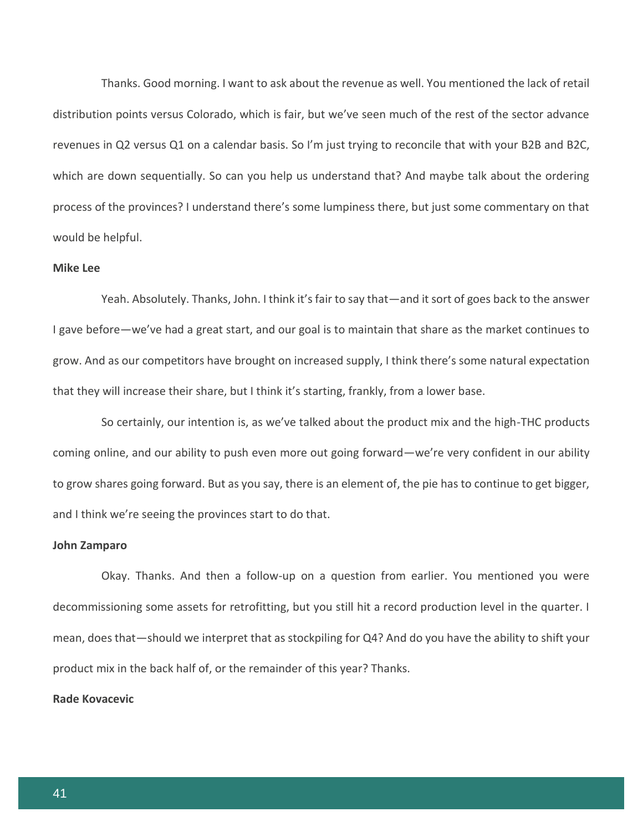Thanks. Good morning. I want to ask about the revenue as well. You mentioned the lack of retail distribution points versus Colorado, which is fair, but we've seen much of the rest of the sector advance revenues in Q2 versus Q1 on a calendar basis. So I'm just trying to reconcile that with your B2B and B2C, which are down sequentially. So can you help us understand that? And maybe talk about the ordering process of the provinces? I understand there's some lumpiness there, but just some commentary on that would be helpful.

#### **Mike Lee**

Yeah. Absolutely. Thanks, John. I think it's fair to say that—and it sort of goes back to the answer I gave before—we've had a great start, and our goal is to maintain that share as the market continues to grow. And as our competitors have brought on increased supply, I think there's some natural expectation that they will increase their share, but I think it's starting, frankly, from a lower base.

So certainly, our intention is, as we've talked about the product mix and the high-THC products coming online, and our ability to push even more out going forward—we're very confident in our ability to grow shares going forward. But as you say, there is an element of, the pie has to continue to get bigger, and I think we're seeing the provinces start to do that.

#### **John Zamparo**

Okay. Thanks. And then a follow-up on a question from earlier. You mentioned you were decommissioning some assets for retrofitting, but you still hit a record production level in the quarter. I mean, does that—should we interpret that as stockpiling for Q4? And do you have the ability to shift your product mix in the back half of, or the remainder of this year? Thanks.

#### **Rade Kovacevic**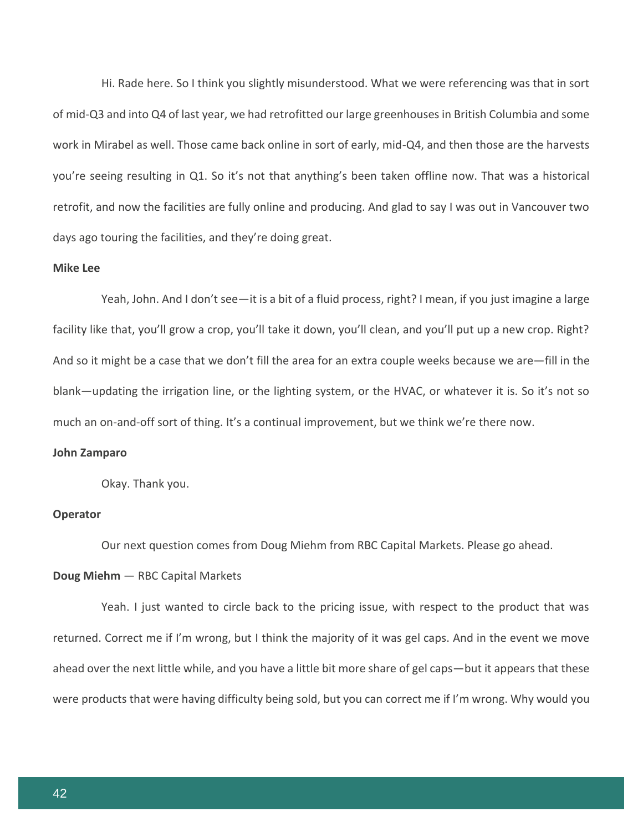Hi. Rade here. So I think you slightly misunderstood. What we were referencing was that in sort of mid-Q3 and into Q4 of last year, we had retrofitted our large greenhouses in British Columbia and some work in Mirabel as well. Those came back online in sort of early, mid-Q4, and then those are the harvests you're seeing resulting in Q1. So it's not that anything's been taken offline now. That was a historical retrofit, and now the facilities are fully online and producing. And glad to say I was out in Vancouver two days ago touring the facilities, and they're doing great.

#### **Mike Lee**

Yeah, John. And I don't see—it is a bit of a fluid process, right? I mean, if you just imagine a large facility like that, you'll grow a crop, you'll take it down, you'll clean, and you'll put up a new crop. Right? And so it might be a case that we don't fill the area for an extra couple weeks because we are—fill in the blank—updating the irrigation line, or the lighting system, or the HVAC, or whatever it is. So it's not so much an on-and-off sort of thing. It's a continual improvement, but we think we're there now.

#### **John Zamparo**

Okay. Thank you.

#### **Operator**

Our next question comes from Doug Miehm from RBC Capital Markets. Please go ahead.

#### **Doug Miehm** — RBC Capital Markets

Yeah. I just wanted to circle back to the pricing issue, with respect to the product that was returned. Correct me if I'm wrong, but I think the majority of it was gel caps. And in the event we move ahead over the next little while, and you have a little bit more share of gel caps—but it appears that these were products that were having difficulty being sold, but you can correct me if I'm wrong. Why would you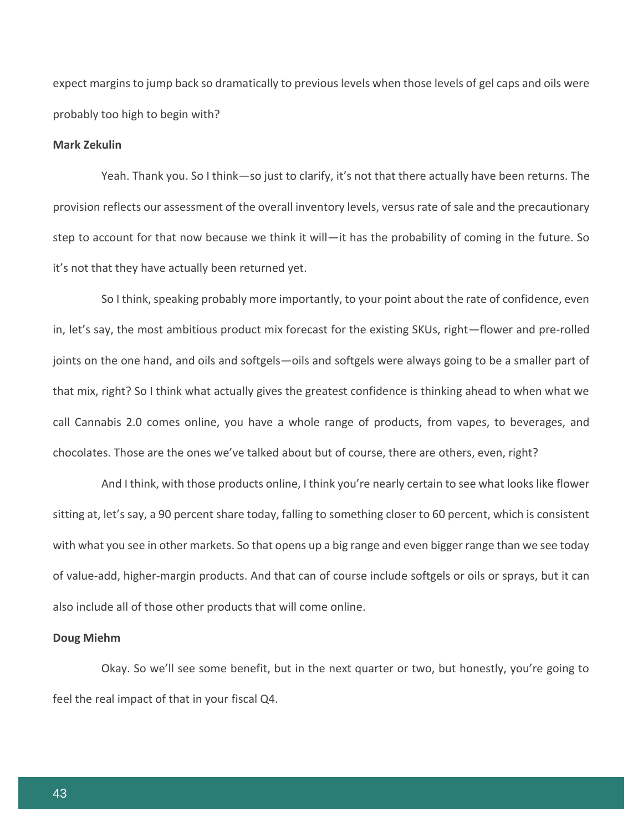expect margins to jump back so dramatically to previous levels when those levels of gel caps and oils were probably too high to begin with?

# **Mark Zekulin**

Yeah. Thank you. So I think—so just to clarify, it's not that there actually have been returns. The provision reflects our assessment of the overall inventory levels, versus rate of sale and the precautionary step to account for that now because we think it will—it has the probability of coming in the future. So it's not that they have actually been returned yet.

So I think, speaking probably more importantly, to your point about the rate of confidence, even in, let's say, the most ambitious product mix forecast for the existing SKUs, right—flower and pre-rolled joints on the one hand, and oils and softgels—oils and softgels were always going to be a smaller part of that mix, right? So I think what actually gives the greatest confidence is thinking ahead to when what we call Cannabis 2.0 comes online, you have a whole range of products, from vapes, to beverages, and chocolates. Those are the ones we've talked about but of course, there are others, even, right?

And I think, with those products online, I think you're nearly certain to see what looks like flower sitting at, let's say, a 90 percent share today, falling to something closer to 60 percent, which is consistent with what you see in other markets. So that opens up a big range and even bigger range than we see today of value-add, higher-margin products. And that can of course include softgels or oils or sprays, but it can also include all of those other products that will come online.

#### **Doug Miehm**

Okay. So we'll see some benefit, but in the next quarter or two, but honestly, you're going to feel the real impact of that in your fiscal Q4.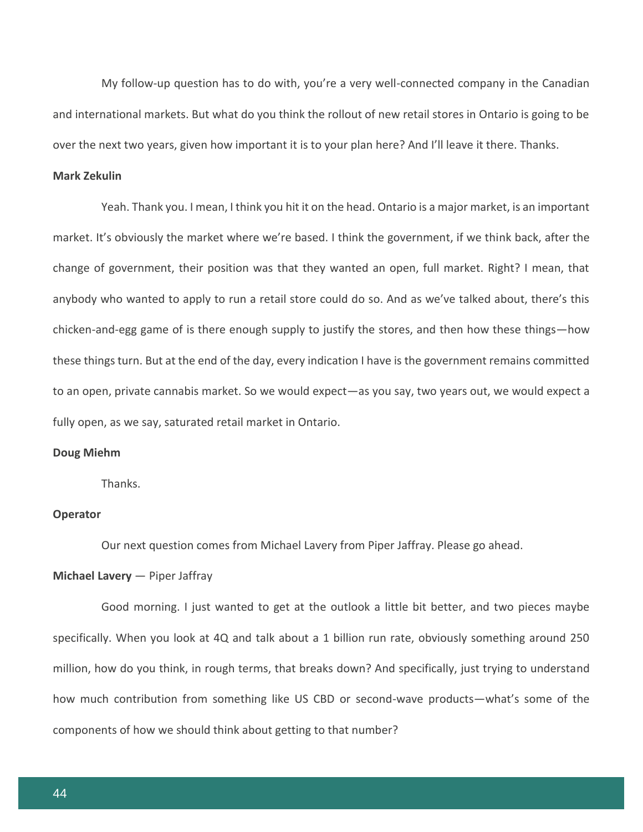My follow-up question has to do with, you're a very well-connected company in the Canadian and international markets. But what do you think the rollout of new retail stores in Ontario is going to be over the next two years, given how important it is to your plan here? And I'll leave it there. Thanks.

# **Mark Zekulin**

Yeah. Thank you. I mean, I think you hit it on the head. Ontario is a major market, is an important market. It's obviously the market where we're based. I think the government, if we think back, after the change of government, their position was that they wanted an open, full market. Right? I mean, that anybody who wanted to apply to run a retail store could do so. And as we've talked about, there's this chicken-and-egg game of is there enough supply to justify the stores, and then how these things—how these things turn. But at the end of the day, every indication I have is the government remains committed to an open, private cannabis market. So we would expect—as you say, two years out, we would expect a fully open, as we say, saturated retail market in Ontario.

#### **Doug Miehm**

**Thanks** 

#### **Operator**

Our next question comes from Michael Lavery from Piper Jaffray. Please go ahead.

#### **Michael Lavery** — Piper Jaffray

Good morning. I just wanted to get at the outlook a little bit better, and two pieces maybe specifically. When you look at 4Q and talk about a 1 billion run rate, obviously something around 250 million, how do you think, in rough terms, that breaks down? And specifically, just trying to understand how much contribution from something like US CBD or second-wave products—what's some of the components of how we should think about getting to that number?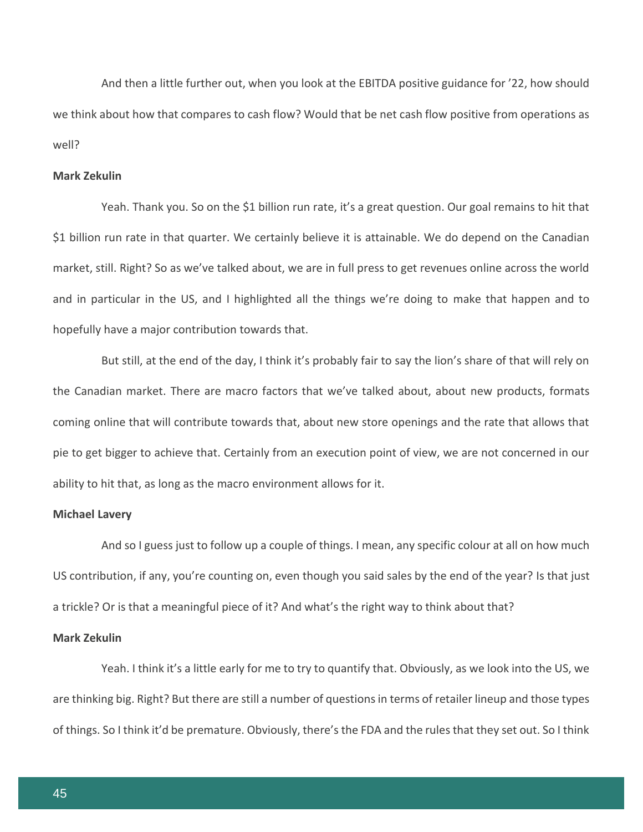And then a little further out, when you look at the EBITDA positive guidance for '22, how should we think about how that compares to cash flow? Would that be net cash flow positive from operations as well?

# **Mark Zekulin**

Yeah. Thank you. So on the \$1 billion run rate, it's a great question. Our goal remains to hit that \$1 billion run rate in that quarter. We certainly believe it is attainable. We do depend on the Canadian market, still. Right? So as we've talked about, we are in full press to get revenues online across the world and in particular in the US, and I highlighted all the things we're doing to make that happen and to hopefully have a major contribution towards that.

But still, at the end of the day, I think it's probably fair to say the lion's share of that will rely on the Canadian market. There are macro factors that we've talked about, about new products, formats coming online that will contribute towards that, about new store openings and the rate that allows that pie to get bigger to achieve that. Certainly from an execution point of view, we are not concerned in our ability to hit that, as long as the macro environment allows for it.

#### **Michael Lavery**

And so I guess just to follow up a couple of things. I mean, any specific colour at all on how much US contribution, if any, you're counting on, even though you said sales by the end of the year? Is that just a trickle? Or is that a meaningful piece of it? And what's the right way to think about that?

#### **Mark Zekulin**

Yeah. I think it's a little early for me to try to quantify that. Obviously, as we look into the US, we are thinking big. Right? But there are still a number of questions in terms of retailer lineup and those types of things. So I think it'd be premature. Obviously, there's the FDA and the rules that they set out. So I think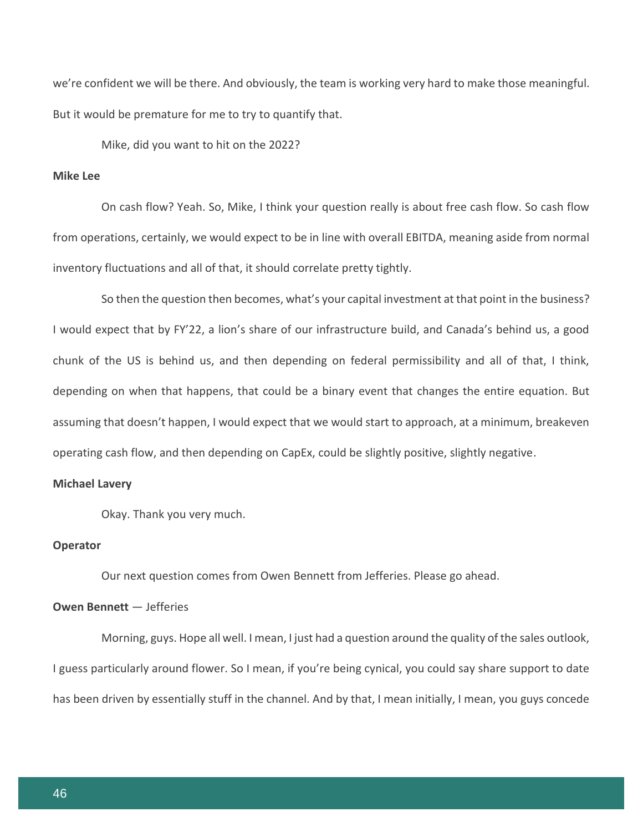we're confident we will be there. And obviously, the team is working very hard to make those meaningful. But it would be premature for me to try to quantify that.

Mike, did you want to hit on the 2022?

# **Mike Lee**

On cash flow? Yeah. So, Mike, I think your question really is about free cash flow. So cash flow from operations, certainly, we would expect to be in line with overall EBITDA, meaning aside from normal inventory fluctuations and all of that, it should correlate pretty tightly.

So then the question then becomes, what's your capital investment at that point in the business? I would expect that by FY'22, a lion's share of our infrastructure build, and Canada's behind us, a good chunk of the US is behind us, and then depending on federal permissibility and all of that, I think, depending on when that happens, that could be a binary event that changes the entire equation. But assuming that doesn't happen, I would expect that we would start to approach, at a minimum, breakeven operating cash flow, and then depending on CapEx, could be slightly positive, slightly negative.

#### **Michael Lavery**

Okay. Thank you very much.

#### **Operator**

Our next question comes from Owen Bennett from Jefferies. Please go ahead.

# **Owen Bennett** — Jefferies

Morning, guys. Hope all well. I mean, I just had a question around the quality of the sales outlook, I guess particularly around flower. So I mean, if you're being cynical, you could say share support to date has been driven by essentially stuff in the channel. And by that, I mean initially, I mean, you guys concede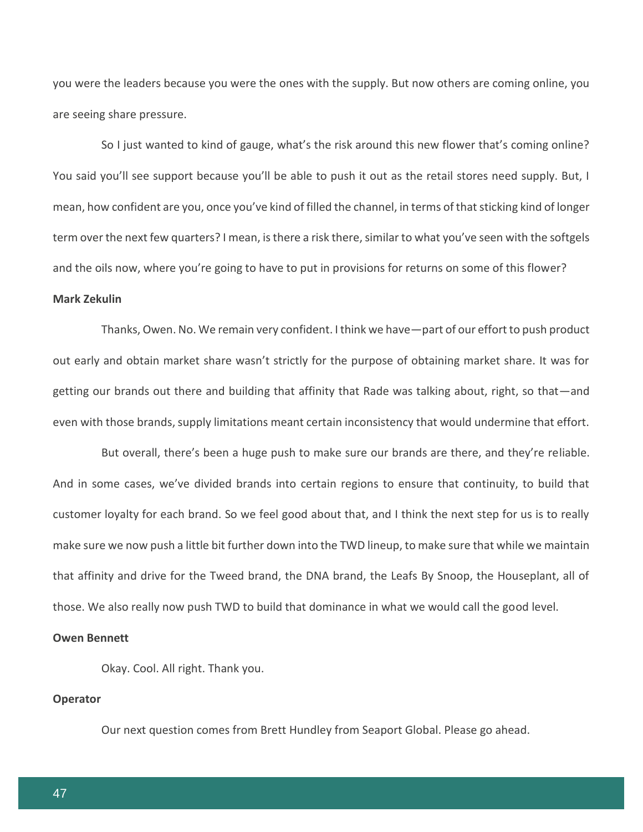you were the leaders because you were the ones with the supply. But now others are coming online, you are seeing share pressure.

So I just wanted to kind of gauge, what's the risk around this new flower that's coming online? You said you'll see support because you'll be able to push it out as the retail stores need supply. But, I mean, how confident are you, once you've kind of filled the channel, in terms of that sticking kind of longer term over the next few quarters? I mean, is there a risk there, similar to what you've seen with the softgels and the oils now, where you're going to have to put in provisions for returns on some of this flower?

# **Mark Zekulin**

Thanks, Owen. No. We remain very confident. I think we have—part of our effort to push product out early and obtain market share wasn't strictly for the purpose of obtaining market share. It was for getting our brands out there and building that affinity that Rade was talking about, right, so that—and even with those brands, supply limitations meant certain inconsistency that would undermine that effort.

But overall, there's been a huge push to make sure our brands are there, and they're reliable. And in some cases, we've divided brands into certain regions to ensure that continuity, to build that customer loyalty for each brand. So we feel good about that, and I think the next step for us is to really make sure we now push a little bit further down into the TWD lineup, to make sure that while we maintain that affinity and drive for the Tweed brand, the DNA brand, the Leafs By Snoop, the Houseplant, all of those. We also really now push TWD to build that dominance in what we would call the good level.

# **Owen Bennett**

Okay. Cool. All right. Thank you.

# **Operator**

Our next question comes from Brett Hundley from Seaport Global. Please go ahead.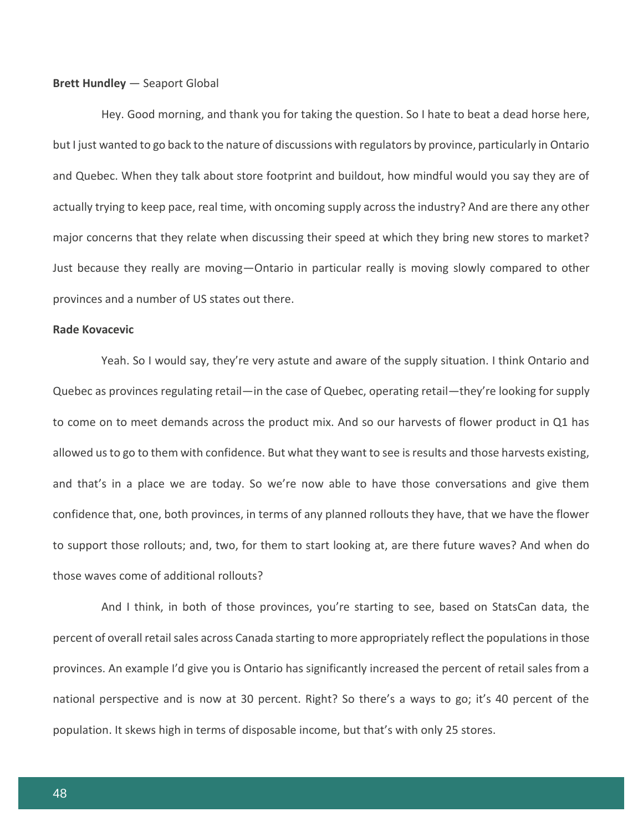#### **Brett Hundley** — Seaport Global

Hey. Good morning, and thank you for taking the question. So I hate to beat a dead horse here, but I just wanted to go back to the nature of discussions with regulators by province, particularly in Ontario and Quebec. When they talk about store footprint and buildout, how mindful would you say they are of actually trying to keep pace, real time, with oncoming supply across the industry? And are there any other major concerns that they relate when discussing their speed at which they bring new stores to market? Just because they really are moving—Ontario in particular really is moving slowly compared to other provinces and a number of US states out there.

#### **Rade Kovacevic**

Yeah. So I would say, they're very astute and aware of the supply situation. I think Ontario and Quebec as provinces regulating retail—in the case of Quebec, operating retail—they're looking for supply to come on to meet demands across the product mix. And so our harvests of flower product in Q1 has allowed us to go to them with confidence. But what they want to see is results and those harvests existing, and that's in a place we are today. So we're now able to have those conversations and give them confidence that, one, both provinces, in terms of any planned rollouts they have, that we have the flower to support those rollouts; and, two, for them to start looking at, are there future waves? And when do those waves come of additional rollouts?

And I think, in both of those provinces, you're starting to see, based on StatsCan data, the percent of overall retail sales across Canada starting to more appropriately reflect the populations in those provinces. An example I'd give you is Ontario has significantly increased the percent of retail sales from a national perspective and is now at 30 percent. Right? So there's a ways to go; it's 40 percent of the population. It skews high in terms of disposable income, but that's with only 25 stores.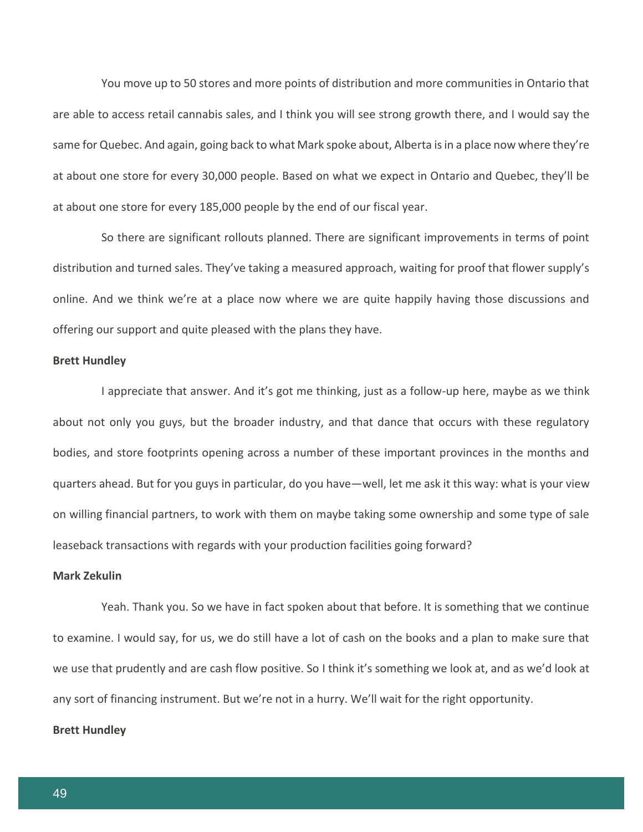You move up to 50 stores and more points of distribution and more communities in Ontario that are able to access retail cannabis sales, and I think you will see strong growth there, and I would say the same for Quebec. And again, going back to what Mark spoke about, Alberta is in a place now where they're at about one store for every 30,000 people. Based on what we expect in Ontario and Quebec, they'll be at about one store for every 185,000 people by the end of our fiscal year.

So there are significant rollouts planned. There are significant improvements in terms of point distribution and turned sales. They've taking a measured approach, waiting for proof that flower supply's online. And we think we're at a place now where we are quite happily having those discussions and offering our support and quite pleased with the plans they have.

#### **Brett Hundley**

I appreciate that answer. And it's got me thinking, just as a follow-up here, maybe as we think about not only you guys, but the broader industry, and that dance that occurs with these regulatory bodies, and store footprints opening across a number of these important provinces in the months and quarters ahead. But for you guys in particular, do you have—well, let me ask it this way: what is your view on willing financial partners, to work with them on maybe taking some ownership and some type of sale leaseback transactions with regards with your production facilities going forward?

#### **Mark Zekulin**

Yeah. Thank you. So we have in fact spoken about that before. It is something that we continue to examine. I would say, for us, we do still have a lot of cash on the books and a plan to make sure that we use that prudently and are cash flow positive. So I think it's something we look at, and as we'd look at any sort of financing instrument. But we're not in a hurry. We'll wait for the right opportunity.

#### **Brett Hundley**